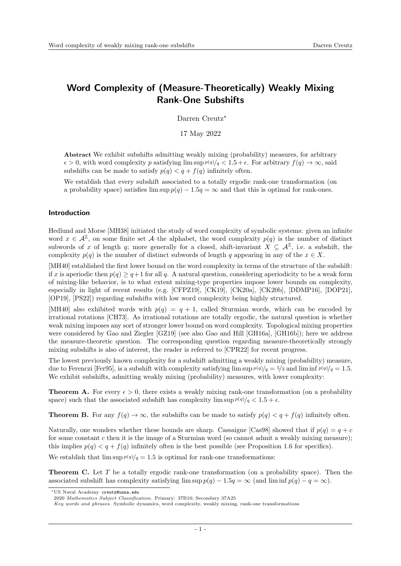## Word Complexity of (Measure-Theoretically) Weakly Mixing Rank-One Subshifts

Darren Creutz<sup>∗</sup>

17 May 2022

Abstract We exhibit subshifts admitting weakly mixing (probability) measures, for arbitrary  $\epsilon > 0$ , with word complexity p satisfying lim sup  $p(q)/q < 1.5 + \epsilon$ . For arbitrary  $f(q) \to \infty$ , said subshifts can be made to satisfy  $p(q) < q + f(q)$  infinitely often.

We establish that every subshift associated to a totally ergodic rank-one transformation (on a probability space) satisfies  $\limsup p(q) - 1.5q = \infty$  and that this is optimal for rank-ones.

## Introduction

Hedlund and Morse [\[MH38\]](#page-28-0) initiated the study of word complexity of symbolic systems: given an infinite word  $x \in \mathcal{A}^{\mathbb{Z}}$ , on some finite set  $\mathcal{A}$ -the alphabet, the word complexity  $p(q)$  is the number of distinct subwords of x of length q; more generally for a closed, shift-invariant  $X \subseteq \mathcal{A}^{\mathbb{Z}}$ , i.e. a subshift, the complexity  $p(q)$  is the number of distinct subwords of length q appearing in any of the  $x \in X$ .

[\[MH40\]](#page-28-1) established the first lower bound on the word complexity in terms of the structure of the subshift: if x is aperiodic then  $p(q) \geq q+1$  for all q. A natural question, considering aperiodicity to be a weak form of mixing-like behavior, is to what extent mixing-type properties impose lower bounds on complexity, especially in light of recent results (e.g. [\[CFPZ19\]](#page-27-0), [\[CK19\]](#page-27-1), [\[CK20a\]](#page-27-2), [\[CK20b\]](#page-27-3), [\[DDMP16\]](#page-28-2), [\[DOP21\]](#page-28-3), [\[OP19\]](#page-28-4), [\[PS22\]](#page-28-5)) regarding subshifts with low word complexity being highly structured.

[\[MH40\]](#page-28-1) also exhibited words with  $p(q) = q + 1$ , called Sturmian words, which can be encoded by irrational rotations [\[CH73\]](#page-27-4). As irrational rotations are totally ergodic, the natural question is whether weak mixing imposes any sort of stronger lower bound on word complexity. Topological mixing properties were considered by Gao and Ziegler [\[GZ19\]](#page-28-6) (see also Gao and Hill [\[GH16a\]](#page-28-7), [\[GH16b\]](#page-28-8)); here we address the measure-theoretic question. The corresponding question regarding measure-theoretically strongly mixing subshifts is also of interest, the reader is referred to [\[CPR22\]](#page-27-5) for recent progress.

The lowest previously known complexity for a subshift admitting a weakly mixing (probability) measure, due to Ferenczi [\[Fer95\]](#page-28-9), is a subshift with complexity satisfying lim sup  $p(q)/q = 5/3$  and lim inf  $p(q)/q = 1.5$ . We exhibit subshifts, admitting weakly mixing (probability) measures, with lower complexity:

<span id="page-0-1"></span>**Theorem A.** For every  $\epsilon > 0$ , there exists a weakly mixing rank-one transformation (on a probability space) such that the associated subshift has complexity  $\limsup p(q)/q < 1.5 + \epsilon$ .

<span id="page-0-2"></span>**Theorem B.** For any  $f(q) \to \infty$ , the subshifts can be made to satisfy  $p(q) < q + f(q)$  infinitely often.

Naturally, one wonders whether these bounds are sharp. Cassaigne [\[Cas98\]](#page-27-6) showed that if  $p(q) = q + c$ for some constant c then it is the image of a Sturmian word (so cannot admit a weakly mixing measure); this implies  $p(q) < q + f(q)$  infinitely often is the best possible (see Proposition [1.6](#page-2-0) for specifics).

We establish that  $\limsup p(q)/q = 1.5$  is optimal for rank-one transformations:

<span id="page-0-0"></span>Theorem C. Let T be a totally ergodic rank-one transformation (on a probability space). Then the associated subshift has complexity satisfying  $\limsup p(q) - 1.5q = \infty$  (and  $\liminf p(q) - q = \infty$ ).

<sup>∗</sup>US Naval Academy creutz@usna.edu

<sup>2020</sup> Mathematics Subject Classification. Primary: 37B10; Secondary 37A25

Key words and phrases. Symbolic dynamics, word complexity, weakly mixing, rank-one transformations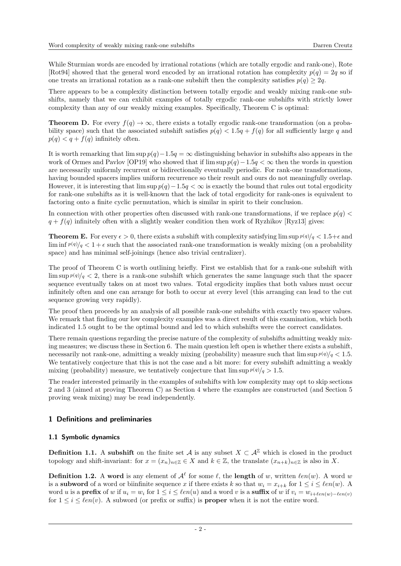While Sturmian words are encoded by irrational rotations (which are totally ergodic and rank-one), Rote [\[Rot94\]](#page-28-10) showed that the general word encoded by an irrational rotation has complexity  $p(q) = 2q$  so if one treats an irrational rotation as a rank-one subshift then the complexity satisfies  $p(q) \geq 2q$ .

There appears to be a complexity distinction between totally ergodic and weakly mixing rank-one subshifts, namely that we can exhibit examples of totally ergodic rank-one subshifts with strictly lower complexity than any of our weakly mixing examples. Specifically, Theorem [C](#page-0-0) is optimal:

**Theorem D.** For every  $f(q) \to \infty$ , there exists a totally ergodic rank-one transformation (on a probability space) such that the associated subshift satisfies  $p(q) < 1.5q + f(q)$  for all sufficiently large q and  $p(q) < q + f(q)$  infinitely often.

It is worth remarking that  $\limsup p(q)-1.5q = \infty$  distinguishing behavior in subshifts also appears in the work of Ormes and Pavlov [\[OP19\]](#page-28-4) who showed that if lim sup  $p(q)-1.5q < \infty$  then the words in question are necessarily uniformly recurrent or bidirectionally eventually periodic. For rank-one transformations, having bounded spacers implies uniform recurrence so their result and ours do not meaningfully overlap. However, it is interesting that  $\limsup p(q)-1.5q < \infty$  is exactly the bound that rules out total ergodicity for rank-one subshifts as it is well-known that the lack of total ergodicity for rank-ones is equivalent to factoring onto a finite cyclic permutation, which is similar in spirit to their conclusion.

In connection with other properties often discussed with rank-one transformations, if we replace  $p(q)$  $q + f(q)$  infinitely often with a slightly weaker condition then work of Ryzhikov [\[Ryz13\]](#page-28-11) gives:

<span id="page-1-0"></span>**Theorem E.** For every  $\epsilon > 0$ , there exists a subshift with complexity satisfying  $\limsup p(q)/q < 1.5+\epsilon$  and  $\liminf p(q)/q < 1+\epsilon$  such that the associated rank-one transformation is weakly mixing (on a probability space) and has minimal self-joinings (hence also trivial centralizer).

The proof of Theorem [C](#page-0-0) is worth outlining briefly. First we establish that for a rank-one subshift with lim sup  $p(q)/q < 2$ , there is a rank-one subshift which generates the same language such that the spacer sequence eventually takes on at most two values. Total ergodicity implies that both values must occur infinitely often and one can arrange for both to occur at every level (this arranging can lead to the cut sequence growing very rapidly).

The proof then proceeds by an analysis of all possible rank-one subshifts with exactly two spacer values. We remark that finding our low complexity examples was a direct result of this examination, which both indicated 1.5 ought to be the optimal bound and led to which subshifts were the correct candidates.

There remain questions regarding the precise nature of the complexity of subshifts admitting weakly mixing measures; we discuss these in Section [6.](#page-27-7) The main question left open is whether there exists a subshift, necessarily not rank-one, admitting a weakly mixing (probability) measure such that  $\limsup p(q)/q < 1.5$ . We tentatively conjecture that this is not the case and a bit more: for every subshift admitting a weakly mixing (probability) measure, we tentatively conjecture that  $\limsup p(q)/q > 1.5$ .

The reader interested primarily in the examples of subshifts with low complexity may opt to skip sections [2](#page-4-0) and [3](#page-8-0) (aimed at proving Theorem [C\)](#page-0-0) as Section [4](#page-19-0) where the examples are constructed (and Section [5](#page-23-0) proving weak mixing) may be read independently.

## 1 Definitions and preliminaries

## 1.1 Symbolic dynamics

**Definition 1.1.** A subshift on the finite set A is any subset  $X \subset \mathcal{A}^{\mathbb{Z}}$  which is closed in the product topology and shift-invariant: for  $x = (x_n)_{n \in \mathbb{Z}} \in X$  and  $k \in \mathbb{Z}$ , the translate  $(x_{n+k})_{n \in \mathbb{Z}}$  is also in X.

**Definition 1.2.** A word is any element of  $\mathcal{A}^{\ell}$  for some  $\ell$ , the length of w, written  $\ell en(w)$ . A word w is a **subword** of a word or biinfinite sequence x if there exists k so that  $w_i = x_{i+k}$  for  $1 \leq i \leq \ell en(w)$ . A word u is a **prefix** of w if  $u_i = w_i$  for  $1 \leq i \leq \ell en(u)$  and a word v is a **suffix** of w if  $v_i = w_{i+\ell en(w)-\ell en(v)}$ for  $1 \leq i \leq \ell en(v)$ . A subword (or prefix or suffix) is **proper** when it is not the entire word.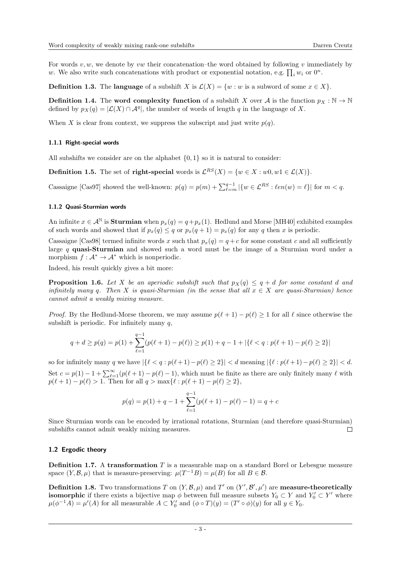For words  $v, w$ , we denote by vw their concatenation–the word obtained by following v immediately by w. We also write such concatenations with product or exponential notation, e.g.  $\prod_i w_i$  or  $0^n$ .

**Definition 1.3.** The language of a subshift X is  $\mathcal{L}(X) = \{w : w$  is a subword of some  $x \in X\}$ .

**Definition 1.4.** The word complexity function of a subshift X over A is the function  $p_X : \mathbb{N} \to \mathbb{N}$ defined by  $p_X(q) = |\mathcal{L}(X) \cap \mathcal{A}^q|$ , the number of words of length q in the language of X.

When X is clear from context, we suppress the subscript and just write  $p(q)$ .

#### 1.1.1 Right-special words

All subshifts we consider are on the alphabet  $\{0, 1\}$  so it is natural to consider:

**Definition 1.5.** The set of **right-special** words is  $\mathcal{L}^{RS}(X) = \{w \in X : w0, w1 \in \mathcal{L}(X)\}\.$ 

Cassaigne [\[Cas97\]](#page-27-8) showed the well-known:  $p(q) = p(m) + \sum_{\ell=m}^{q-1} |\{w \in \mathcal{L}^{RS} : \ell en(w) = \ell\}|$  for  $m < q$ .

#### 1.1.2 Quasi-Sturmian words

An infinite  $x \in A^{\mathbb{N}}$  is **Sturmian** when  $p_x(q) = q + p_x(1)$ . Hedlund and Morse [\[MH40\]](#page-28-1) exhibited examples of such words and showed that if  $p_x(q) \leq q$  or  $p_x(q + 1) = p_x(q)$  for any q then x is periodic.

Cassaigne [\[Cas98\]](#page-27-6) termed infinite words x such that  $p_x(q) = q + c$  for some constant c and all sufficiently large q quasi-Sturmian and showed such a word must be the image of a Sturmian word under a morphism  $f : \mathcal{A}^* \to \mathcal{A}^*$  which is nonperiodic.

Indeed, his result quickly gives a bit more:

<span id="page-2-0"></span>**Proposition 1.6.** Let X be an aperiodic subshift such that  $p_X(q) \leq q + d$  for some constant d and infinitely many q. Then X is quasi-Sturmian (in the sense that all  $x \in X$  are quasi-Sturmian) hence cannot admit a weakly mixing measure.

*Proof.* By the Hedlund-Morse theorem, we may assume  $p(\ell + 1) - p(\ell) \geq 1$  for all  $\ell$  since otherwise the subshift is periodic. For infinitely many  $q$ ,

$$
q + d \ge p(q) = p(1) + \sum_{\ell=1}^{q-1} (p(\ell+1) - p(\ell)) \ge p(1) + q - 1 + |\{\ell < q : p(\ell+1) - p(\ell) \ge 2\}|
$$

so for infinitely many q we have  $|\{\ell < q : p(\ell + 1) - p(\ell) \geq 2\}| < d$  meaning  $|\{\ell : p(\ell + 1) - p(\ell) \geq 2\}| < d$ . Set  $c = p(1) - 1 + \sum_{\ell=1}^{\infty} (p(\ell+1) - p(\ell) - 1)$ , which must be finite as there are only finitely many  $\ell$  with  $p(\ell + 1) - p(\ell) > 1$ . Then for all  $q > \max{\ell : p(\ell + 1) - p(\ell) \ge 2},$ 

$$
p(q) = p(1) + q - 1 + \sum_{\ell=1}^{q-1} (p(\ell+1) - p(\ell) - 1) = q + c
$$

Since Sturmian words can be encoded by irrational rotations, Sturmian (and therefore quasi-Sturmian) subshifts cannot admit weakly mixing measures.  $\Box$ 

## 1.2 Ergodic theory

**Definition 1.7.** A transformation  $T$  is a measurable map on a standard Borel or Lebesgue measure space  $(Y, \mathcal{B}, \mu)$  that is measure-preserving:  $\mu(T^{-1}B) = \mu(B)$  for all  $B \in \mathcal{B}$ .

**Definition 1.8.** Two transformations T on  $(Y, \mathcal{B}, \mu)$  and T' on  $(Y', \mathcal{B}', \mu')$  are **measure-theoretically isomorphic** if there exists a bijective map  $\phi$  between full measure subsets  $Y_0 \subset Y$  and  $Y'_0 \subset Y'$  where  $\mu(\phi^{-1}A) = \mu'(A)$  for all measurable  $A \subset Y'_0$  and  $(\phi \circ T)(y) = (T' \circ \phi)(y)$  for all  $y \in Y_0$ .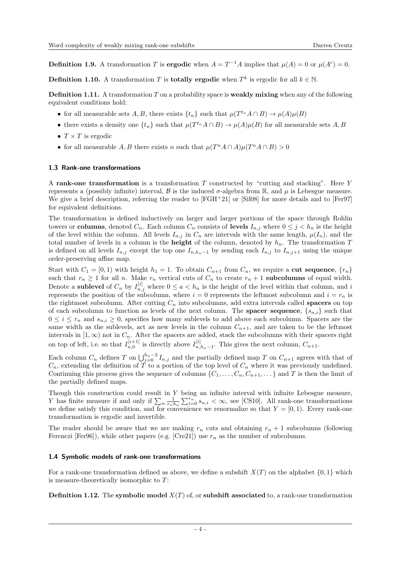**Definition 1.9.** A transformation T is **ergodic** when  $A = T^{-1}A$  implies that  $\mu(A) = 0$  or  $\mu(A^c) = 0$ .

**Definition 1.10.** A transformation T is **totally ergodic** when  $T^k$  is ergodic for all  $k \in \mathbb{N}$ .

**Definition 1.11.** A transformation  $T$  on a probability space is **weakly mixing** when any of the following equivalent conditions hold:

- for all measurable sets A, B, there exists  $\{t_n\}$  such that  $\mu(T^{t_n}A \cap B) \to \mu(A)\mu(B)$
- there exists a density one  $\{t_n\}$  such that  $\mu(T^{t_n}A \cap B) \to \mu(A)\mu(B)$  for all measurable sets A, B
- $T \times T$  is ergodic
- for all measurable A, B there exists n such that  $\mu(T^nA \cap A)\mu(T^nA \cap B) > 0$

## 1.3 Rank-one transformations

A rank-one transformation is a transformation  $T$  constructed by "cutting and stacking". Here  $Y$ represents a (possibly infinite) interval, B is the induced  $\sigma$ -algebra from R, and  $\mu$  is Lebesgue measure. We give a brief description, referring the reader to  $|FGH+21|$  or  $|Si08|$  for more details and to  $|Fer97|$ for equivalent definitions.

The transformation is defined inductively on larger and larger portions of the space through Rohlin towers or columns, denoted  $C_n$ . Each column  $C_n$  consists of levels  $I_{n,j}$  where  $0 \leq j \leq h_n$  is the height of the level within the column. All levels  $I_{n,j}$  in  $C_n$  are intervals with the same length,  $\mu(I_n)$ , and the total number of levels in a column is the **height** of the column, denoted by  $h_n$ . The transformation T is defined on all levels  $I_{n,j}$  except the top one  $I_{n,h_n-1}$  by sending each  $I_{n,j}$  to  $I_{n,j+1}$  using the unique order-preserving affine map.

Start with  $C_1 = [0, 1)$  with height  $h_1 = 1$ . To obtain  $C_{n+1}$  from  $C_n$ , we require a **cut sequence**,  $\{r_n\}$ such that  $r_n \geq 1$  for all n. Make  $r_n$  vertical cuts of  $C_n$  to create  $r_n + 1$  subcolumns of equal width. Denote a **sublevel** of  $C_n$  by  $I_{n,j}^{[i]}$  where  $0 \le a < h_n$  is the height of the level within that column, and i represents the position of the subcolumn, where  $i = 0$  represents the leftmost subcolumn and  $i = r_n$  is the rightmost subcolumn. After cutting  $C_n$  into subcolumns, add extra intervals called **spacers** on top of each subcolumn to function as levels of the next column. The **spacer sequence**,  $\{s_{n,i}\}$  such that  $0 \leq i \leq r_n$  and  $s_{n,i} \geq 0$ , specifies how many sublevels to add above each subcolumn. Spacers are the same width as the sublevels, act as new levels in the column  $C_{n+1}$ , and are taken to be the leftmost intervals in  $[1, \infty)$  not in  $C_n$ . After the spacers are added, stack the subcolumns with their spacers right on top of left, i.e. so that  $I_{n,0}^{[i+1]}$  is directly above  $I_{n,0}^{[i]}$  $\prod_{n,h_n-1}^{[i]}$ . This gives the next column,  $C_{n+1}$ .

Each column  $C_n$  defines T on  $\bigcup_{j=0}^{h_n-2} I_{n,j}$  and the partially defined map T on  $C_{n+1}$  agrees with that of  $C_n$ , extending the definition of T to a portion of the top level of  $C_n$  where it was previously undefined. Continuing this process gives the sequence of columns  $\{C_1, \ldots, C_n, C_{n+1}, \ldots\}$  and T is then the limit of the partially defined maps.

Though this construction could result in Y being an infinite interval with infinite Lebesgue measure, Y has finite measure if and only if  $\sum_{n} \frac{1}{r_n h_n} \sum_{i=0}^{r_n} s_{n,i} < \infty$ , see [\[CS10\]](#page-27-9). All rank-one transformations we define satisfy this condition, and for convenience we renormalize so that  $Y = [0, 1)$ . Every rank-one transformation is ergodic and invertible.

The reader should be aware that we are making  $r_n$  cuts and obtaining  $r_n + 1$  subcolumns (following Ferenczi [\[Fer96\]](#page-28-15)), while other papers (e.g. [\[Cre21\]](#page-27-10)) use  $r_n$  as the number of subcolumns.

## 1.4 Symbolic models of rank-one transformations

For a rank-one transformation defined as above, we define a subshift  $X(T)$  on the alphabet  $\{0, 1\}$  which is measure-theoretically isomorphic to T:

**Definition 1.12.** The symbolic model  $X(T)$  of, or subshift associated to, a rank-one transformation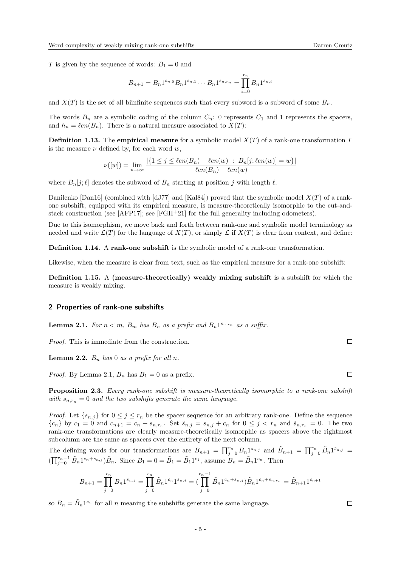T is given by the sequence of words:  $B_1 = 0$  and

$$
B_{n+1} = B_n 1^{s_{n,0}} B_n 1^{s_{n,1}} \cdots B_n 1^{s_{n,r_n}} = \prod_{i=0}^{r_n} B_n 1^{s_{n,i}}
$$

and  $X(T)$  is the set of all biinfinite sequences such that every subword is a subword of some  $B_n$ .

The words  $B_n$  are a symbolic coding of the column  $C_n$ : 0 represents  $C_1$  and 1 represents the spacers, and  $h_n = \ell en(B_n)$ . There is a natural measure associated to  $X(T)$ :

**Definition 1.13.** The empirical measure for a symbolic model  $X(T)$  of a rank-one transformation T is the measure  $\nu$  defined by, for each word w,

$$
\nu([w]) = \lim_{n \to \infty} \frac{|\{1 \le j \le \ell en(B_n) - \ell en(w) \ : \ B_n[j; \ell en(w)] = w\}|}{\ell en(B_n) - \ell en(w)}
$$

where  $B_n[j; \ell]$  denotes the subword of  $B_n$  starting at position j with length  $\ell$ .

Danilenko  $\lceil \text{Dan16} \rceil$  (combined with  $\lceil \text{dJ77} \rceil$  and  $\lceil \text{Kal84} \rceil$ ) proved that the symbolic model  $X(T)$  of a rankone subshift, equipped with its empirical measure, is measure-theoretically isomorphic to the cut-andstack construction (see [\[AFP17\]](#page-27-11); see [\[FGH](#page-28-12)+21] for the full generality including odometers).

Due to this isomorphism, we move back and forth between rank-one and symbolic model terminology as needed and write  $\mathcal{L}(T)$  for the language of  $X(T)$ , or simply  $\mathcal{L}$  if  $X(T)$  is clear from context, and define:

Definition 1.14. A rank-one subshift is the symbolic model of a rank-one transformation.

Likewise, when the measure is clear from text, such as the empirical measure for a rank-one subshift:

Definition 1.15. A (measure-theoretically) weakly mixing subshift is a subshift for which the measure is weakly mixing.

## <span id="page-4-0"></span>2 Properties of rank-one subshifts

<span id="page-4-1"></span>**Lemma 2.1.** For  $n < m$ ,  $B_m$  has  $B_n$  as a prefix and  $B_n 1^{s_{n,r_n}}$  as a suffix.

Proof. This is immediate from the construction.

<span id="page-4-3"></span>**Lemma 2.2.**  $B_n$  has 0 as a prefix for all n.

*Proof.* By Lemma [2.1,](#page-4-1)  $B_n$  has  $B_1 = 0$  as a prefix.

<span id="page-4-2"></span>Proposition 2.3. Every rank-one subshift is measure-theoretically isomorphic to a rank-one subshift with  $s_{n,r_n} = 0$  and the two subshifts generate the same language.

*Proof.* Let  $\{s_{n,j}\}\$ for  $0 \leq j \leq r_n$  be the spacer sequence for an arbitrary rank-one. Define the sequence  ${c_n}$  by  $c_1 = 0$  and  $c_{n+1} = c_n + s_{n,r_n}$ . Set  $\tilde{s}_{n,j} = s_{n,j} + c_n$  for  $0 \le j < r_n$  and  $\tilde{s}_{n,r_n} = 0$ . The two rank-one transformations are clearly measure-theoretically isomorphic as spacers above the rightmost subcolumn are the same as spacers over the entirety of the next column.

The defining words for our transformations are  $B_{n+1} = \prod_{j=0}^{r_n} B_n 1^{s_{n,j}}$  and  $\tilde{B}_{n+1} = \prod_{j=0}^{r_n} \tilde{B}_n 1^{s_{n,j}} =$  $(\prod_{j=0}^{r_n-1} \tilde{B}_n 1^{c_n+s_{n,j}}) \tilde{B}_n$ . Since  $B_1 = 0 = \tilde{B}_1 = \tilde{B}_1 1^{c_1}$ , assume  $B_n = \tilde{B}_n 1^{c_n}$ . Then

$$
B_{n+1} = \prod_{j=0}^{r_n} B_n 1^{s_{n,j}} = \prod_{j=0}^{r_n} \tilde{B}_n 1^{c_n} 1^{s_{n,j}} = \left( \prod_{j=0}^{r_n - 1} \tilde{B}_n 1^{c_n + s_{n,j}} \right) \tilde{B}_n 1^{c_n + s_{n,r_n}} = \tilde{B}_{n+1} 1^{c_{n+1}}
$$

so  $B_n = \tilde{B}_n 1^{c_n}$  for all n meaning the subshifts generate the same language.

 $\Box$ 

 $\Box$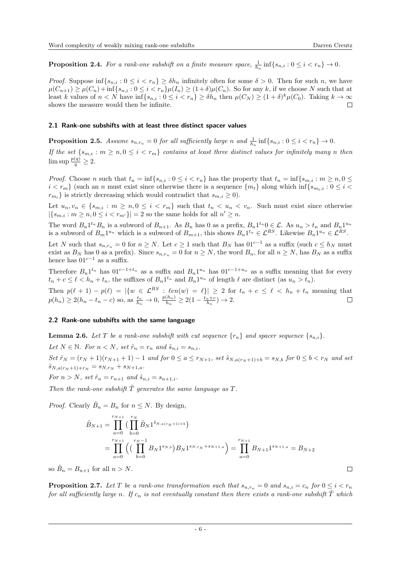$\Box$ 

<span id="page-5-2"></span>**Proposition 2.4.** For a rank-one subshift on a finite measure space,  $\frac{1}{h_n}$  inf $\{s_{n,i} : 0 \le i \le r_n\} \to 0$ .

*Proof.* Suppose  $\inf\{s_{n,i} : 0 \le i < r_n\} \ge \delta h_n$  infinitely often for some  $\delta > 0$ . Then for such n, we have  $\mu(C_{n+1}) \geq \mu(C_n) + \inf\{s_{n,i} : 0 \leq i < r_n\} \mu(I_n) \geq (1+\delta)\mu(C_n)$ . So for any k, if we choose N such that at least k values of  $n < N$  have  $\inf\{s_{n,i} : 0 \le i < r_n\} \ge \delta h_n$  then  $\mu(C_N) \ge (1+\delta)^k \mu(C_0)$ . Taking  $k \to \infty$ shows the measure would then be infinite.  $\Box$ 

## 2.1 Rank-one subshifts with at least three distinct spacer values

<span id="page-5-1"></span>**Proposition 2.5.** Assume  $s_{n,r_n} = 0$  for all sufficiently large n and  $\frac{1}{h_n} \inf \{ s_{n,i} : 0 \le i < r_n \} \to 0$ .

If the set  $\{s_{m,i}: m \geq n, 0 \leq i < r_m\}$  contains at least three distinct values for infinitely many n then  $\limsup \frac{p(q)}{q} \geq 2.$ 

*Proof.* Choose n such that  $t_n = \inf\{s_{n,i} : 0 \le i < r_n\}$  has the property that  $t_n = \inf\{s_{m,i} : m \ge n, 0 \le i \le r_n\}$  $i < r_m$  (such an *n* must exist since otherwise there is a sequence  $\{m_t\}$  along which inf $\{s_{m_t,i} : 0 \le i <$  $r_{m_t}$  is strictly decreasing which would contradict that  $s_{m,i} \geq 0$ .

Let  $u_n, v_n \in \{s_{m,i} : m \geq n, 0 \leq i < r_m\}$  such that  $t_n < u_n < v_n$ . Such must exist since otherwise  $|\{s_{m,i} : m \ge n, 0 \le i < r_{m'}\}| = 2$  so the same holds for all  $n' \ge n$ .

The word  $B_n 1^{t_n} B_n$  is a subword of  $B_{n+1}$ . As  $B_n$  has 0 as a prefix,  $B_n 1^{t_n} 0 \in \mathcal{L}$ . As  $u_n > t_n$  and  $B_n 1^{u_n}$ is a subword of  $B_m 1^{u_n}$  which is a subword of  $B_{m+1}$ , this shows  $B_n 1^{t_n} \in \mathcal{L}^{RS}$ . Likewise  $B_n 1^{u_n} \in \mathcal{L}^{RS}$ .

Let N such that  $s_{n,r_n} = 0$  for  $n \geq N$ . Let  $c \geq 1$  such that  $B_N$  has  $01^{c-1}$  as a suffix (such  $c \leq h_N$  must exist as  $B_N$  has 0 as a prefix). Since  $s_{n,r_n} = 0$  for  $n \ge N$ , the word  $B_n$ , for all  $n \ge N$ , has  $B_N$  as a suffix hence has  $01^{c-1}$  as a suffix.

Therefore  $B_n 1^{t_n}$  has  $01^{c-1+t_n}$  as a suffix and  $B_n 1^{u_n}$  has  $01^{c-1+u_n}$  as a suffix meaning that for every  $t_n + c \leq \ell < h_n + t_n$ , the suffixes of  $B_n 1^{t_n}$  and  $B_n 1^{u_n}$  of length  $\ell$  are distinct (as  $u_n > t_n$ ).

Then  $p(\ell + 1) - p(\ell) = |\{w \in \mathcal{L}^{RS} : \ell en(w) = \ell\}| \geq 2$  for  $t_n + c \leq \ell < h_n + t_n$  meaning that  $p(h_n) \ge 2(h_n - t_n - c)$  so, as  $\frac{t_n}{h_n} \to 0$ ,  $\frac{p(h_n)}{h_n} \ge 2(1 - \frac{t_n + c}{h_n}) \to 2$ .

## 2.2 Rank-one subshifts with the same language

<span id="page-5-0"></span>**Lemma 2.6.** Let T be a rank-one subshift with cut sequence  $\{r_n\}$  and spacer sequence  $\{s_{n,i}\}$ .

Let  $N \in \mathbb{N}$ . For  $n < N$ , set  $\tilde{r}_n = r_n$  and  $\tilde{s}_{n,i} = s_{n,i}$ . Set  $\tilde{r}_N = (r_N + 1)(r_{N+1} + 1) - 1$  and for  $0 \le a \le r_{N+1}$ , set  $\tilde{s}_{N,a(r_N+1)+b} = s_{N,b}$  for  $0 \le b < r_N$  and set  $\tilde{s}_{N,a(r_N+1)+r_N} = s_{N,r_N} + s_{N+1,a}.$ 

For  $n > N$ , set  $\tilde{r}_n = r_{n+1}$  and  $\tilde{s}_{n,i} = s_{n+1,i}$ .

Then the rank-one subshift  $\tilde{T}$  generates the same language as  $T$ .

*Proof.* Clearly  $\tilde{B}_n = B_n$  for  $n \leq N$ . By design,

$$
\tilde{B}_{N+1} = \prod_{a=0}^{r_{N+1}} \left( \prod_{b=0}^{r_N} \tilde{B}_N 1^{\tilde{s}_{N,a(r_N+1)+b}} \right)
$$
\n
$$
= \prod_{a=0}^{r_{N+1}} \left( \left( \prod_{b=0}^{r_N-1} B_N 1^{s_{N,b}} \right) B_N 1^{s_{N,r_N} + s_{N+1,a}} \right) = \prod_{a=0}^{r_{N+1}} B_{N+1} 1^{s_{N+1,a}} = B_{N+2}
$$

so  $\tilde{B}_n = B_{n+1}$  for all  $n > N$ .

<span id="page-5-3"></span>**Proposition 2.7.** Let T be a rank-one transformation such that  $s_{n,r_n} = 0$  and  $s_{n,i} = c_n$  for  $0 \le i < r_n$ for all sufficiently large n. If  $c_n$  is not eventually constant then there exists a rank-one subshift  $\tilde{T}$  which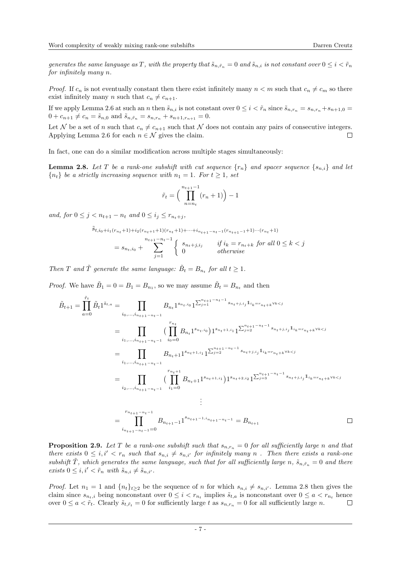generates the same language as T, with the property that  $\tilde{s}_{n,\tilde{r}_n} = 0$  and  $\tilde{s}_{n,i}$  is not constant over  $0 \leq i < \tilde{r}_n$ for infinitely many n.

*Proof.* If  $c_n$  is not eventually constant then there exist infinitely many  $n < m$  such that  $c_n \neq c_m$  so there exist infinitely many *n* such that  $c_n \neq c_{n+1}$ .

If we apply Lemma [2.6](#page-5-0) at such an n then  $\tilde{s}_{n,i}$  is not constant over  $0 \leq i \leq \tilde{r}_n$  since  $\tilde{s}_{n,r_n} = s_{n,r_n} + s_{n+1,0}$  $0 + c_{n+1} \neq c_n = \tilde{s}_{n,0}$  and  $\tilde{s}_{n,\tilde{r}_n} = s_{n,r_n} + s_{n+1,r_{n+1}} = 0.$ 

Let N be a set of n such that  $c_n \neq c_{n+1}$  such that N does not contain any pairs of consecutive integers. Applying Lemma [2.6](#page-5-0) for each  $n \in \mathcal{N}$  gives the claim.  $\Box$ 

In fact, one can do a similar modification across multiple stages simultaneously:

<span id="page-6-0"></span>**Lemma 2.8.** Let T be a rank-one subshift with cut sequence  $\{r_n\}$  and spacer sequence  $\{s_{n,i}\}\$  and let  ${n_t}$  be a strictly increasing sequence with  $n_1 = 1$ . For  $t > 1$ , set

$$
\tilde{r}_t = \left(\prod_{n=n_t}^{n_{t+1}-1} (r_n + 1)\right) - 1
$$

and, for  $0 \leq j < n_{t+1} - n_t$  and  $0 \leq i_j \leq r_{n_t+j}$ ,

$$
\tilde{s}_{t,i_0+i_1(r_{n_t}+1)+i_2(r_{n_t+1}+1)(r_{n_t}+1)+\cdots+i_{n_{t+1}-n_t-1}(r_{n_{t+1}-1}+1)\cdots(r_{n_t}+1)}
$$
\n
$$
= s_{n_t,i_0} + \sum_{j=1}^{n_{t+1}-n_t-1} \begin{cases}\ns_{n_t+j,i_j} & \text{if } i_k = r_{n_t+k} \text{ for all } 0 \le k < j \\
0 & \text{otherwise}\n\end{cases}
$$

Then T and  $\tilde{T}$  generate the same language:  $\tilde{B}_t = B_{n_t}$  for all  $t \geq 1$ .

*Proof.* We have  $\tilde{B}_1 = 0 = B_1 = B_{n_1}$ , so we may assume  $\tilde{B}_t = B_{n_t}$  and then

$$
\tilde{B}_{t+1} = \prod_{a=0}^{\tilde{r}_t} \tilde{B}_t 1^{\tilde{s}_{t,a}} = \prod_{i_0, \dots, i_{n_{t+1}-n_t-1}} B_{n_t} 1^{s_{n_t,i_0}} 1^{\sum_{j=1}^{n_{t+1}-n_t-1} s_{n_t+j,i_j} 1_{i_k=r_{n_t+k} \vee k
$$

<span id="page-6-1"></span>**Proposition 2.9.** Let T be a rank-one subshift such that  $s_{n,r_n} = 0$  for all sufficiently large n and that there exists  $0 \leq i, i' < r_n$  such that  $s_{n,i} \neq s_{n,i'}$  for infinitely many n. Then there exists a rank-one subshift  $\tilde{T}$ , which generates the same language, such that for all sufficiently large n,  $\tilde{s}_{n,\tilde{r}_n} = 0$  and there exists  $0 \leq i, i' < \tilde{r}_n$  with  $\tilde{s}_{n,i} \neq \tilde{s}_{n,i'}$ .

*Proof.* Let  $n_1 = 1$  and  $\{n_t\}_{t\geq 2}$  be the sequence of n for which  $s_{n,i} \neq s_{n,i'}$ . Lemma [2.8](#page-6-0) then gives the claim since  $s_{n_t,i}$  being nonconstant over  $0 \leq i < r_{n_t}$  implies  $\tilde{s}_{t,a}$  is nonconstant over  $0 \leq a < r_{n_t}$  hence over  $0 \le a < \tilde{r}_t$ . Clearly  $\tilde{s}_{t,\tilde{r}_t} = 0$  for sufficiently large t as  $s_{n,r_n} = 0$  for all sufficiently large n.  $\Box$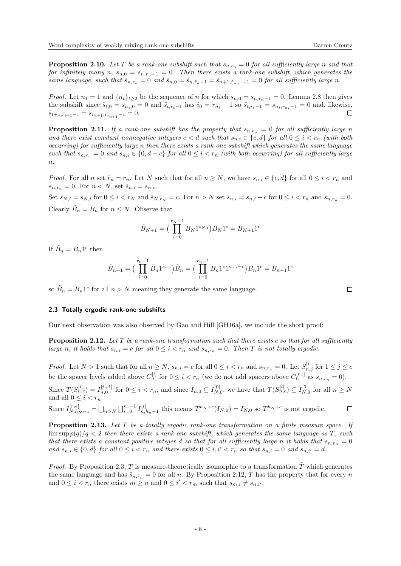<span id="page-7-3"></span>**Proposition 2.10.** Let T be a rank-one subshift such that  $s_{n,r_n} = 0$  for all sufficiently large n and that for infinitely many n,  $s_{n,0} = s_{n,r_n-1} = 0$ . Then there exists a rank-one subshift, which generates the same language, such that  $\tilde{s}_{n,r_n} = 0$  and  $\tilde{s}_{n,0} = \tilde{s}_{n,\tilde{r}_n-1} = \tilde{s}_{n+1,\tilde{r}_{n+1}-1} = 0$  for all sufficiently large n.

*Proof.* Let  $n_1 = 1$  and  $\{n_t\}_{t\geq 2}$  be the sequence of n for which  $s_{n,0} = s_{n,r_n-1} = 0$ . Lemma [2.8](#page-6-0) then gives the subshift since  $\tilde{s}_{t,0} = s_{n_t,0} = 0$  and  $\tilde{s}_{t,\tilde{r}_t-1}$  has  $i_0 = r_{n_t} - 1$  so  $\tilde{s}_{t,\tilde{r}_t-1} = s_{n_t,r_{n_t}-1} = 0$  and, likewise,<br> $\tilde{s}_{t+1,\tilde{s}} = 1 \equiv s_{n_t} - 1 \equiv 0$ .  $\tilde{s}_{t+1,\tilde{r}_{t+1}-1} = s_{n_{t+1},r_{n_{t+1}}-1} = 0.$ 

<span id="page-7-1"></span>**Proposition 2.11.** If a rank-one subshift has the property that  $s_{n,r_n} = 0$  for all sufficiently large n and there exist constant nonnegative integers  $c < d$  such that  $s_{n,i} \in \{c,d\}$  for all  $0 \leq i < r_n$  (with both occurring) for sufficiently large n then there exists a rank-one subshift which generates the same language such that  $s_{n,r_n} = 0$  and  $s_{n,i} \in \{0, d-c\}$  for all  $0 \leq i < r_n$  (with both occurring) for all sufficiently large  $n$ .

*Proof.* For all n set  $\tilde{r}_n = r_n$ . Let N such that for all  $n \geq N$ , we have  $s_{n,i} \in \{c, d\}$  for all  $0 \leq i < r_n$  and  $s_{n,r_n} = 0$ . For  $n < N$ , set  $\tilde{s}_{n,i} = s_{n,i}$ .

Set  $\tilde{s}_{N,i} = s_{N,i}$  for  $0 \le i < r_N$  and  $\tilde{s}_{N,r_N} = c$ . For  $n > N$  set  $\tilde{s}_{n,i} = s_{n,i} - c$  for  $0 \le i < r_n$  and  $\tilde{s}_{n,r_n} = 0$ . Clearly  $\tilde{B}_n = B_n$  for  $n \leq N$ . Observe that

$$
\tilde{B}_{N+1} = \left(\prod_{i=0}^{r_N - 1} B_N 1^{s_{N,i}}\right) B_N 1^c = B_{N+1} 1^c
$$

If  $\tilde{B}_n = B_n 1^c$  then

$$
\tilde{B}_{n+1} = \left(\prod_{i=0}^{r_n-1} \tilde{B}_n 1^{\tilde{s}_{n,i}}\right) \tilde{B}_n = \left(\prod_{i=0}^{r_n-1} B_n 1^c 1^{s_{n,i}-c}\right) B_n 1^c = B_{n+1} 1^c
$$

so  $\tilde{B}_n = B_n 1^c$  for all  $n > N$  meaning they generate the same language.

## 2.3 Totally ergodic rank-one subshifts

Our next observation was also observed by Gao and Hill [\[GH16a\]](#page-28-7), we include the short proof:

<span id="page-7-0"></span>**Proposition 2.12.** Let T be a rank-one transformation such that there exists c so that for all sufficiently large n, it holds that  $s_{n,i} = c$  for all  $0 \leq i < r_n$  and  $s_{n,r_n} = 0$ . Then T is not totally ergodic.

*Proof.* Let  $N > 1$  such that for all  $n \ge N$ ,  $s_{n,i} = c$  for all  $0 \le i < r_n$  and  $s_{n,r_n} = 0$ . Let  $S_{n,j}^{[i]}$  for  $1 \le j \le c$ be the spacer levels added above  $C_n^{[i]}$  for  $0 \leq i < r_n$  (we do not add spacers above  $C_n^{[r_n]}$  as  $s_{n,r_n} = 0$ ).

Since  $T(S_{n,c}^{[i]}) = I_{n,0}^{[i+1]}$  for  $0 \le i < r_n$ , and since  $I_{n,0} \subseteq I_{N,0}^{[0]}$  $T_{N,0}^{[0]}$ , we have that  $T(S_{n,c}^{[i]}) \subseteq I_{N,j}^{[0]}$  $N_{N,0}^{\left[0\right]}$  for all  $n \geq N$ and all  $0 \leq i \leq r_n$ .

Since 
$$
I_{N,h_N-1}^{[r_N]} = \bigsqcup_{n>N} \bigsqcup_{i=0}^{r_n-1} I_{n,h_n-1}^{[i]}
$$
 this means  $T^{h_N+c}(I_{N,0}) = I_{N,0}$  so  $T^{h_N+c}$  is not ergodic.

<span id="page-7-2"></span>Proposition 2.13. Let T be a totally ergodic rank-one transformation on a finite measure space. If  $\limsup p(q)/q < 2$  then there exists a rank-one subshift, which generates the same language as T, such that there exists a constant positive integer d so that for all sufficiently large n it holds that  $s_{n,r_n} = 0$ and  $s_{n,i} \in \{0, d\}$  for all  $0 \leq i < r_n$  and there exists  $0 \leq i, i' < r_n$  so that  $s_{n,i} = 0$  and  $s_{n,i'} = d$ .

*Proof.* By Proposition [2.3,](#page-4-2) T is measure-theoretically isomorphic to a transformation  $\tilde{T}$  which generates the same language and has  $\tilde{s}_{n,\tilde{r}_n} = 0$  for all n. By Proposition [2.12,](#page-7-0)  $\tilde{T}$  has the property that for every n and  $0 \leq i < r_n$  there exists  $m \geq n$  and  $0 \leq i' < r_m$  such that  $s_{m,i} \neq s_{n,i'}$ .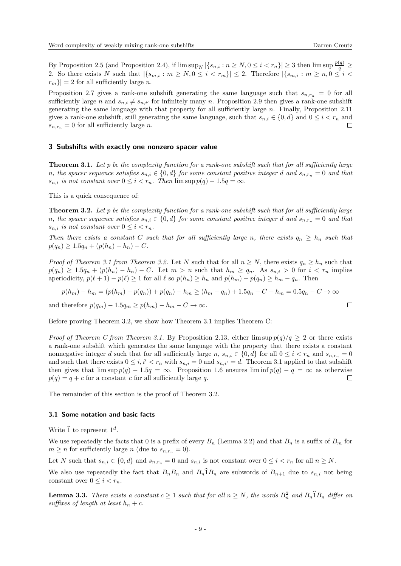By Proposition [2.5](#page-5-1) (and Proposition [2.4\)](#page-5-2), if  $\limsup_N |\{s_{n,i} : n \ge N, 0 \le i < r_n\}| \ge 3$  then  $\limsup \frac{p(q)}{q} \ge$ 2. So there exists N such that  $|\{s_{m,i} : m \geq N, 0 \leq i < r_m\}| \leq 2$ . Therefore  $|\{s_{m,i} : m \geq n, 0 \leq i < r_m\}|$  $|r_m\rangle|=2$  for all sufficiently large n.

Proposition [2.7](#page-5-3) gives a rank-one subshift generating the same language such that  $s_{n,r_n} = 0$  for all sufficiently large n and  $s_{n,i} \neq s_{n,i'}$  for infinitely many n. Proposition [2.9](#page-6-1) then gives a rank-one subshift generating the same language with that property for all sufficiently large  $n$ . Finally, Proposition [2.11](#page-7-1) gives a rank-one subshift, still generating the same language, such that  $s_{n,i} \in \{0, d\}$  and  $0 \leq i < r_n$  and  $s_{n,r_n} = 0$  for all sufficiently large n. П

## <span id="page-8-0"></span>3 Subshifts with exactly one nonzero spacer value

<span id="page-8-1"></span>Theorem 3.1. Let p be the complexity function for a rank-one subshift such that for all sufficiently large n, the spacer sequence satisfies  $s_{n,i} \in \{0, d\}$  for some constant positive integer d and  $s_{n,r_n} = 0$  and that  $s_{n,i}$  is not constant over  $0 \leq i < r_n$ . Then  $\limsup p(q) - 1.5q = \infty$ .

This is a quick consequence of:

<span id="page-8-2"></span>Theorem 3.2. Let p be the complexity function for a rank-one subshift such that for all sufficiently large n, the spacer sequence satisfies  $s_{n,i} \in \{0, d\}$  for some constant positive integer d and  $s_{n,r_n} = 0$  and that  $s_{n,i}$  is not constant over  $0 \leq i < r_n$ .

Then there exists a constant C such that for all sufficiently large n, there exists  $q_n \geq h_n$  such that  $p(q_n) \geq 1.5q_n + (p(h_n) - h_n) - C.$ 

*Proof of Theorem [3.1](#page-8-1) from Theorem [3.2.](#page-8-2)* Let N such that for all  $n \geq N$ , there exists  $q_n \geq h_n$  such that  $p(q_n) \geq 1.5q_n + (p(h_n) - h_n) - C$ . Let  $m > n$  such that  $h_m \geq q_n$ . As  $s_{n,i} > 0$  for  $i < r_n$  implies aperiodicity,  $p(\ell + 1) - p(\ell) \ge 1$  for all  $\ell$  so  $p(h_n) \ge h_n$  and  $p(h_m) - p(q_n) \ge h_m - q_n$ . Then

$$
p(h_m) - h_m = (p(h_m) - p(q_n)) + p(q_n) - h_m \ge (h_m - q_n) + 1.5q_n - C - h_m = 0.5q_n - C \to \infty
$$

and therefore  $p(q_m) - 1.5q_m \ge p(h_m) - h_m - C \to \infty$ .

Before proving Theorem [3.2,](#page-8-2) we show how Theorem [3.1](#page-8-1) implies Theorem [C:](#page-0-0)

*Proof of Theorem [C](#page-0-0) from Theorem [3.1.](#page-8-1)* By Proposition [2.13,](#page-7-2) either  $\limsup p(q)/q \geq 2$  or there exists a rank-one subshift which generates the same language with the property that there exists a constant nonnegative integer d such that for all sufficiently large n,  $s_{n,i} \in \{0, d\}$  for all  $0 \leq i \leq r_n$  and  $s_{n,r_n} = 0$ and such that there exists  $0 \leq i, i' < r_n$  with  $s_{n,i} = 0$  and  $s_{n,i'} = d$ . Theorem [3.1](#page-8-1) applied to that subshift then gives that  $\limsup p(q) - 1.5q = \infty$ . Proposition [1.6](#page-2-0) ensures  $\liminf p(q) - q = \infty$  as otherwise  $p(q) = q + c$  for a constant c for all sufficiently large q.  $\Box$ 

The remainder of this section is the proof of Theorem [3.2.](#page-8-2)

## 3.1 Some notation and basic facts

Write  $\widehat{1}$  to represent  $1^d$ .

We use repeatedly the facts that 0 is a prefix of every  $B_n$  (Lemma [2.2\)](#page-4-3) and that  $B_n$  is a suffix of  $B_m$  for  $m \geq n$  for sufficiently large n (due to  $s_{n,r_n} = 0$ ).

Let N such that  $s_{n,i} \in \{0, d\}$  and  $s_{n,r_n} = 0$  and  $s_{n,i}$  is not constant over  $0 \leq i < r_n$  for all  $n \geq N$ .

We also use repeatedly the fact that  $B_n B_n$  and  $B_n \mathbb{1}B_n$  are subwords of  $B_{n+1}$  due to  $s_{n,i}$  not being constant over  $0 \leq i < r_n$ .

<span id="page-8-3"></span>**Lemma 3.3.** There exists a constant  $c \ge 1$  such that for all  $n \ge N$ , the words  $B_n^2$  and  $B_n \hat{1} B_n$  differ on suffixes of length at least  $h_n + c$ .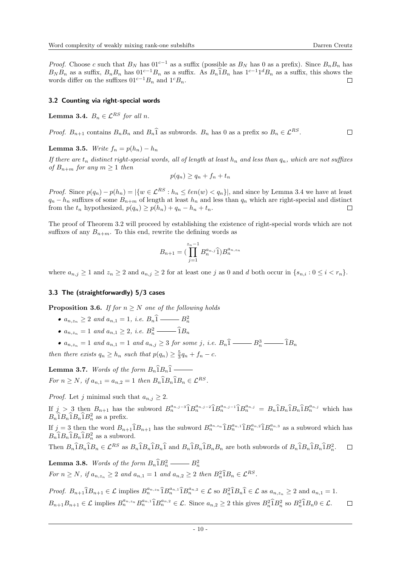*Proof.* Choose c such that  $B_N$  has  $01^{c-1}$  as a suffix (possible as  $B_N$  has 0 as a prefix). Since  $B_nB_n$  has  $B_N B_n$  as a suffix,  $B_n B_n$  has  $01^{c-1} B_n$  as a suffix. As  $B_n \hat{1} B_n$  has  $1^{c-1} 1^d B_n$  as a suffix, this shows the words differ on the suffixes  $01^{c-1}B_n$  and  $1^cB_n$ .  $\Box$ 

## 3.2 Counting via right-special words

<span id="page-9-0"></span>**Lemma 3.4.**  $B_n \in \mathcal{L}^{RS}$  for all n.

*Proof.*  $B_{n+1}$  contains  $B_n B_n$  and  $B_n \hat{1}$  as subwords.  $B_n$  has 0 as a prefix so  $B_n \in \mathcal{L}^{RS}$ .  $\Box$ 

<span id="page-9-4"></span>Lemma 3.5. Write  $f_n = p(h_n) - h_n$ 

If there are  $t_n$  distinct right-special words, all of length at least  $h_n$  and less than  $q_n$ , which are not suffixes of  $B_{n+m}$  for any  $m \geq 1$  then

$$
p(q_n) \ge q_n + f_n + t_n
$$

*Proof.* Since  $p(q_n) - p(h_n) = |\{w \in \mathcal{L}^{RS} : h_n \leq \ell en(w) < q_n\}|$ , and since by Lemma [3.4](#page-9-0) we have at least  $q_n - h_n$  suffixes of some  $B_{n+m}$  of length at least  $h_n$  and less than  $q_n$  which are right-special and distinct from the  $t_n$  hypothesized,  $p(q_n) \geq p(h_n) + q_n - h_n + t_n$ .  $\Box$ 

The proof of Theorem [3.2](#page-8-2) will proceed by establishing the existence of right-special words which are not suffixes of any  $B_{n+m}$ . To this end, rewrite the defining words as

$$
B_{n+1} = \left(\prod_{j=1}^{z_n - 1} B_n^{a_{n,j}} \widehat{1}\right) B_n^{a_{n,z_n}}
$$

where  $a_{n,j} \geq 1$  and  $z_n \geq 2$  and  $a_{n,j} \geq 2$  for at least one j as 0 and d both occur in  $\{s_{n,i} : 0 \leq i \leq r_n\}$ .

## 3.3 The (straightforwardly) 5/3 cases

<span id="page-9-1"></span>**Proposition 3.6.** If for  $n > N$  one of the following holds

- an,z<sup>n</sup> ≥ 2 and an,<sup>1</sup> = 1, i.e. B<sup>n</sup> <sup>b</sup><sup>1</sup> <sup>B</sup><sup>2</sup> n
- an,z<sup>n</sup> = 1 and an,<sup>1</sup> ≥ 2, i.e. B<sup>2</sup> n <sup>b</sup>1B<sup>n</sup>
- $a_{n,z_n} = 1$  and  $a_{n,1} = 1$  and  $a_{n,j} \ge 3$  for some j, i.e.  $B_n\hat{1}$   $B_n^3$   $\hat{1}B_n$

then there exists  $q_n \geq h_n$  such that  $p(q_n) \geq \frac{5}{3}q_n + f_n - c$ .

<span id="page-9-2"></span>**Lemma 3.7.** Words of the form  $B_n 1B_n 1$ For  $n \geq N$ , if  $a_{n,1} = a_{n,2} = 1$  then  $B_n \hat{1} B_n \hat{1} B_n \in \mathcal{L}^{RS}$ .

*Proof.* Let j minimal such that  $a_{n,j} \geq 2$ .

If  $j > 3$  then  $B_{n+1}$  has the subword  $B_n^{a_{n,j-3}}$  $\hat{1}B_n^{a_{n,j-2}}$  $\hat{1}B_n^{a_{n,j-1}}$  $\hat{1}B_n^{a_{n,j}} = B_n \hat{1}B_n \hat{1}B_n \hat{1}B_n^{a_{n,j}}$  which has  $B_n \hat{1} B_n \hat{1} B_n \hat{1} B_n^2$  as a prefix.

If  $j = 3$  then the word  $B_{n+1} \hat{1} B_{n+1}$  has the subword  $B_n^{a_{n,n}} \hat{1} B_n^{a_{n,1}} \hat{1} B_n^{a_{n,2}} \hat{1} B_n^{a_{n,3}}$  as a subword which has  $B_n \hat{1} B_n \hat{1} B_n \hat{1} B_n^2$  as a subword.

Then  $B_n \hat{1} B_n \hat{1} B_n \in \mathcal{L}^{RS}$  as  $B_n \hat{1} B_n \hat{1} B_n \hat{1} B_n \hat{1} B_n \hat{1} B_n B_n$  are both subwords of  $B_n \hat{1} B_n \hat{1} B_n \hat{1} B_n^2$ .  $\Box$ 

<span id="page-9-3"></span>**Lemma 3.8.** Words of the form  $B_n \hat{1} B_n^2 \longrightarrow B_n^2$ For  $n \ge N$ , if  $a_{n,z_n} \ge 2$  and  $a_{n,1} = 1$  and  $a_{n,2} \ge 2$  then  $B_n^2 \widehat{1} B_n \in \mathcal{L}^{RS}$ .

*Proof.*  $B_{n+1}\hat{\mathbf{1}}B_{n+1} \in \mathcal{L}$  implies  $B_n^{a_{n,2n}}\hat{\mathbf{1}}B_n^{a_{n,1}}\hat{\mathbf{1}}B_n^{a_{n,2}} \in \mathcal{L}$  so  $B_n^2\hat{\mathbf{1}}B_n\hat{\mathbf{1}} \in \mathcal{L}$  as  $a_{n,z_n} \geq 2$  and  $a_{n,1} = 1$ .  $B_{n+1}B_{n+1} \in \mathcal{L}$  implies  $B_n^{a_{n,2}} B_n^{a_{n,1}} \hat{\mathbb{1}} B_n^{a_{n,2}} \in \mathcal{L}$ . Since  $a_{n,2} \ge 2$  this gives  $B_n^2 \hat{\mathbb{1}} B_n^2$  so  $B_n^2 \hat{\mathbb{1}} B_n^2 0 \in \mathcal{L}$ .  $\Box$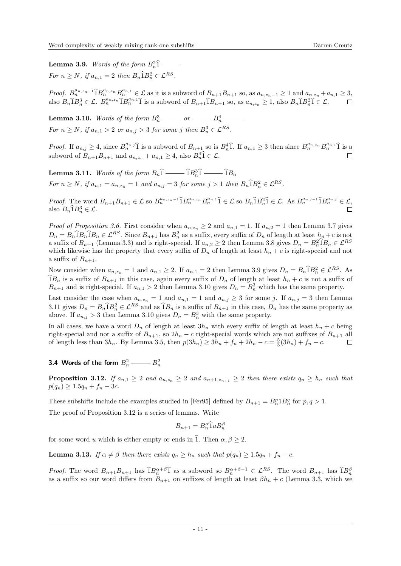<span id="page-10-0"></span>**Lemma 3.9.** Words of the form  $B_n^2 \hat{1}$ For  $n \geq N$ , if  $a_{n,1} = 2$  then  $B_n \widehat{1} B_n^2 \in \mathcal{L}^{RS}$ .

Proof.  $B_n^{a_{n,z_n-1}}\hat{B}_n^{a_{n,z_n}}B_n^{a_{n,1}} \in \mathcal{L}$  as it is a subword of  $B_{n+1}B_{n+1}$  so, as  $a_{n,z_n-1} \geq 1$  and  $a_{n,z_n} + a_{n,1} \geq 3$ , also  $B_n \hat{\mathbf{1}} B_n^3 \in \mathcal{L}$ .  $B_n^{a_{n,2n}} \hat{\mathbf{1}} B_n^{a_{n,1}} \hat{\mathbf{1}}$  is a subword of  $B_{n+1} \hat{\mathbf{1}} B_{n+1}$  so, as  $a_{n,z_n} \geq 1$ , also  $B_n \hat{\mathbf{1}} B_n^2 \hat{\mathbf{1}} \in \mathcal{L}$ .  $\Box$ 

<span id="page-10-1"></span>**Lemma 3.10.** Words of the form  $B_n^3 \longrightarrow or \longrightarrow B_n^4$ For  $n \ge N$ , if  $a_{n,1} > 2$  or  $a_{n,j} > 3$  for some j then  $B_n^3 \in \mathcal{L}^{RS}$ .

*Proof.* If  $a_{n,j} \geq 4$ , since  $B_n^{a_{n,j}}\hat{1}$  is a subword of  $B_{n+1}$  so is  $B_n^4\hat{1}$ . If  $a_{n,1} \geq 3$  then since  $B_n^{a_{n,z_n}}B_n^{a_{n,1}}\hat{1}$  is a subword of  $B_{n+1}B_{n+1}$  and  $a_{n,z_n} + a_{n,1} \geq 4$ , also  $B_n^4 \hat{1} \in \mathcal{L}$ .

<span id="page-10-2"></span>Lemma 3.11. Words of the form B<sup>n</sup> <sup>b</sup><sup>1</sup> <sup>b</sup>1B<sup>3</sup> n <sup>b</sup><sup>1</sup> <sup>b</sup>1B<sup>n</sup> For  $n \ge N$ , if  $a_{n,1} = a_{n,z_n} = 1$  and  $a_{n,j} = 3$  for some  $j > 1$  then  $B_n \widehat{1} B_n^2 \in \mathcal{L}^{RS}$ .

Proof. The word  $B_{n+1}B_{n+1} \in \mathcal{L}$  so  $B_n^{a_{n,n-1}}\hat{1}B_n^{a_{n,n}}B_n^{a_{n,1}}\hat{1} \in \mathcal{L}$  so  $B_n\hat{1}B_n^2\hat{1} \in \mathcal{L}$ . As  $B_n^{a_{n,j-1}}\hat{1}B_n^{a_{n,j}} \in \mathcal{L}$ , also  $B_n \hat{1} B_n^3 \in \mathcal{L}$ .

*Proof of Proposition [3.6.](#page-9-1)* First consider when  $a_{n,z_n} \geq 2$  and  $a_{n,1} = 1$ . If  $a_{n,2} = 1$  then Lemma [3.7](#page-9-2) gives  $D_n = B_n \hat{1} B_n \hat{1} B_n \in \mathcal{L}^{RS}$ . Since  $B_{n+1}$  has  $B_n^2$  as a suffix, every suffix of  $D_n$  of length at least  $h_n + c$  is not a suffix of  $B_{n+1}$  (Lemma [3.3\)](#page-8-3) and is right-special. If  $a_{n,2} \geq 2$  then Lemma [3.8](#page-9-3) gives  $D_n = B_n^2 \hat{1} B_n \in \mathcal{L}^{RS}$ which likewise has the property that every suffix of  $D_n$  of length at least  $h_n + c$  is right-special and not a suffix of  $B_{n+1}$ .

Now consider when  $a_{n,z_n} = 1$  and  $a_{n,1} \geq 2$ . If  $a_{n,1} = 2$  then Lemma [3.9](#page-10-0) gives  $D_n = B_n \hat{1} B_n^2 \in \mathcal{L}^{RS}$ . As  $1B_n$  is a suffix of  $B_{n+1}$  in this case, again every suffix of  $D_n$  of length at least  $h_n + c$  is not a suffix of  $B_{n+1}$  and is right-special. If  $a_{n,1} > 2$  then Lemma [3.10](#page-10-1) gives  $D_n = B_n^3$  which has the same property.

Last consider the case when  $a_{n,z_n} = 1$  and  $a_{n,1} = 1$  and  $a_{n,j} \geq 3$  for some j. If  $a_{n,j} = 3$  then Lemma [3.11](#page-10-2) gives  $D_n = B_n \widehat{1} B_n^2 \in \mathcal{L}^{RS}$  and as  $\widehat{1} B_n$  is a suffix of  $B_{n+1}$  in this case,  $D_n$  has the same property as above. If  $a_{n,j} > 3$  then Lemma [3.10](#page-10-1) gives  $D_n = B_n^3$  with the same property.

In all cases, we have a word  $D_n$  of length at least  $3h_n$  with every suffix of length at least  $h_n + c$  being right-special and not a suffix of  $B_{n+1}$ , so  $2h_n - c$  right-special words which are not suffixes of  $B_{n+1}$  all of length less than  $3h_n$ . By Lemma [3.5,](#page-9-4) then  $p(3h_n) \ge 3h_n + f_n + 2h_n - c = \frac{5}{3}(3h_n) + f_n - c$ .  $\Box$ 

3.4 Words of the form 
$$
B_n^2 \longrightarrow B_n^2
$$

<span id="page-10-3"></span>**Proposition 3.12.** If  $a_{n,1} \geq 2$  and  $a_{n,z_n} \geq 2$  and  $a_{n+1,z_{n+1}} \geq 2$  then there exists  $q_n \geq h_n$  such that  $p(q_n) \geq 1.5q_n + f_n - 3c$ .

These subshifts include the examples studied in [\[Fer95\]](#page-28-9) defined by  $B_{n+1} = B_n^p B_n^q$  for  $p, q > 1$ . The proof of Proposition [3.12](#page-10-3) is a series of lemmas. Write

$$
B_{n+1} = B_n^{\alpha} \widehat{1} u B_n^{\beta}
$$

for some word u which is either empty or ends in  $\hat{1}$ . Then  $\alpha, \beta \geq 2$ .

<span id="page-10-4"></span>**Lemma 3.13.** If  $\alpha \neq \beta$  then there exists  $q_n \geq h_n$  such that  $p(q_n) \geq 1.5q_n + f_n - c$ .

*Proof.* The word  $B_{n+1}B_{n+1}$  has  $\hat{1}B_n^{\alpha+\beta}\hat{1}$  as a subword so  $B_n^{\alpha+\beta-1} \in \mathcal{L}^{RS}$ . The word  $B_{n+1}$  has  $\hat{1}B_n^{\beta}$ as a suffix so our word differs from  $B_{n+1}$  on suffixes of length at least  $\beta h_n + c$  (Lemma [3.3,](#page-8-3) which we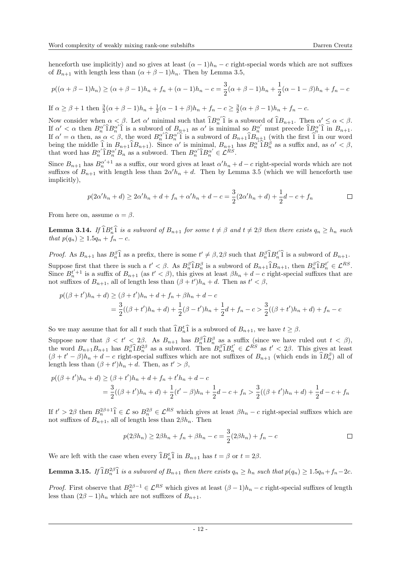henceforth use implicitly) and so gives at least  $(\alpha - 1)h_n - c$  right-special words which are not suffixes of  $B_{n+1}$  with length less than  $(\alpha + \beta - 1)h_n$ . Then by Lemma [3.5,](#page-9-4)

$$
p((\alpha + \beta - 1)h_n) \geq (\alpha + \beta - 1)h_n + f_n + (\alpha - 1)h_n - c = \frac{3}{2}(\alpha + \beta - 1)h_n + \frac{1}{2}(\alpha - 1 - \beta)h_n + f_n - c
$$

If  $\alpha \ge \beta + 1$  then  $\frac{3}{2}(\alpha + \beta - 1)h_n + \frac{1}{2}(\alpha - 1 + \beta)h_n + f_n - c \ge \frac{3}{2}(\alpha + \beta - 1)h_n + f_n - c$ .

Now consider when  $\alpha < \beta$ . Let  $\alpha'$  minimal such that  $\hat{1}B_n^{\alpha'}\hat{1}$  is a subword of  $\hat{1}B_{n+1}$ . Then  $\alpha' \leq \alpha < \beta$ . If  $\alpha' < \alpha$  then  $B_n^{\alpha'} \hat{1} B_n^{\alpha'} \hat{1}$  is a subword of  $B_{n+1}$  as  $\alpha'$  is minimal so  $B_n^{\alpha'}$  must precede  $\hat{1} B_n^{\alpha'} \hat{1}$  in  $B_{n+1}$ . n α < α then  $D_n$  i  $D_n$  i is a subword of  $D_{n+1}$  as α is minimal so  $D_n$  must precede  $D_n$  i m  $D_{n+1}$ .<br>If  $\alpha' = \alpha$  then, as  $\alpha < \beta$ , the word  $B_n^{\alpha'}$  is a subword of  $B_{n+1}$  i  $B_{n+1}$  (with the first i in our wor being the middle  $\hat{1}$  in  $B_{n+1}\hat{1}B_{n+1}$ ). Since  $\alpha'$  is minimal,  $B_{n+1}$  has  $B_n^{\alpha'}\hat{1}B_n^{\beta}$  as a suffix and, as  $\alpha' < \beta$ , that word has  $B_n^{\alpha'} \hat{B}_n^{\alpha'} B_n$  as a subword. Then  $B_n^{\alpha'} \hat{B}_n^{\alpha'} \in \mathcal{L}^{RS}$ .

Since  $B_{n+1}$  has  $B_n^{\alpha'+1}$  as a suffix, our word gives at least  $\alpha'h_n + d - c$  right-special words which are not suffixes of  $B_{n+1}$  with length less than  $2\alpha' h_n + d$ . Then by Lemma [3.5](#page-9-4) (which we will henceforth use implicitly),

$$
p(2\alpha' h_n + d) \ge 2\alpha' h_n + d + f_n + \alpha' h_n + d - c = \frac{3}{2}(2\alpha' h_n + d) + \frac{1}{2}d - c + f_n
$$

From here on, assume  $\alpha = \beta$ .

<span id="page-11-0"></span>**Lemma 3.14.** If  $\hat{1}B_n^t\hat{1}$  is a subword of  $B_{n+1}$  for some  $t \neq \beta$  and  $t \neq 2\beta$  then there exists  $q_n \geq h_n$  such that  $p(q_n) \geq 1.5q_n + f_n - c$ .

*Proof.* As  $B_{n+1}$  has  $B_n^{\beta}$  as a prefix, there is some  $t' \neq \beta$ ,  $2\beta$  such that  $B_n^{\beta}$   $B_n^{t'}$  is a subword of  $B_{n+1}$ . Suppose first that there is such a  $t' < \beta$ . As  $B_n^{\beta} \hat{\mathbf{1}} B_n^{\beta}$  is a subword of  $B_{n+1} \hat{\mathbf{1}} B_{n+1}$ , then  $B_n^{\beta} \hat{\mathbf{1}} B_n^{t'} \in \mathcal{L}^{RS}$ . Since  $B_n^{t'+1}$  is a suffix of  $B_{n+1}$  (as  $t' < \beta$ ), this gives at least  $\beta h_n + d - c$  right-special suffixes that are not suffixes of  $B_{n+1}$ , all of length less than  $(\beta + t')h_n + d$ . Then as  $t' < \beta$ ,

$$
p((\beta + t')h_n + d) \geq (\beta + t')h_n + d + f_n + \beta h_n + d - c
$$
  
= 
$$
\frac{3}{2}((\beta + t')h_n + d) + \frac{1}{2}(\beta - t')h_n + \frac{1}{2}d + f_n - c > \frac{3}{2}((\beta + t')h_n + d) + f_n - c
$$

So we may assume that for all t such that  $\widehat{\mathbf{1}}B_n^t\widehat{\mathbf{1}}$  is a subword of  $B_{n+1}$ , we have  $t \geq \beta$ .

Suppose now that  $\beta < t' < 2\beta$ . As  $B_{n+1}$  has  $B_n^{\beta} \hat{\mathbf{i}} B_n^{\beta}$  as a suffix (since we have ruled out  $t < \beta$ ), the word  $B_{n+1}B_{n+1}$  has  $B_n^{\beta}\hat{\mathbb{1}}B_n^{2\beta}$  as a subword. Then  $B_n^{\beta}\hat{\mathbb{1}}B_n^{t'} \in \mathcal{L}^{RS}$  as  $t' < 2\beta$ . This gives at least  $(\beta + t' - \beta)h_n + d - c$  right-special suffixes which are not suffixes of  $B_{n+1}$  (which ends in  $\widehat{B}_{n}^{\beta}$ ) all of length less than  $(\beta + t')h_n + d$ . Then, as  $t' > \beta$ ,

$$
p((\beta + t')h_n + d) \geq (\beta + t')h_n + d + f_n + t'h_n + d - c
$$
  
= 
$$
\frac{3}{2}((\beta + t')h_n + d) + \frac{1}{2}(t' - \beta)h_n + \frac{1}{2}d - c + f_n > \frac{3}{2}((\beta + t')h_n + d) + \frac{1}{2}d - c + f_n
$$

If  $t' > 2\beta$  then  $B_n^{2\beta+1}$   $\widehat{I} \in \mathcal{L}$  so  $B_n^{2\beta} \in \mathcal{L}^{RS}$  which gives at least  $\beta h_n - c$  right-special suffixes which are not suffixes of  $B_{n+1}$ , all of length less than  $2\beta h_n$ . Then

$$
p(2\beta h_n) \ge 2\beta h_n + f_n + \beta h_n - c = \frac{3}{2}(2\beta h_n) + f_n - c
$$

We are left with the case when every  $\hat{1}B_n^t\hat{1}$  in  $B_{n+1}$  has  $t = \beta$  or  $t = 2\beta$ .

<span id="page-11-1"></span>**Lemma 3.15.** If  $\widehat{\mathbb{1}}B_n^{2\beta}\widehat{\mathbb{1}}$  is a subword of  $B_{n+1}$  then there exists  $q_n \geq h_n$  such that  $p(q_n) \geq 1.5q_n + f_n - 2c$ .

*Proof.* First observe that  $B_n^{2\beta-1} \in \mathcal{L}^{RS}$  which gives at least  $(\beta - 1)h_n - c$  right-special suffixes of length less than  $(2\beta - 1)h_n$  which are not suffixes of  $B_{n+1}$ .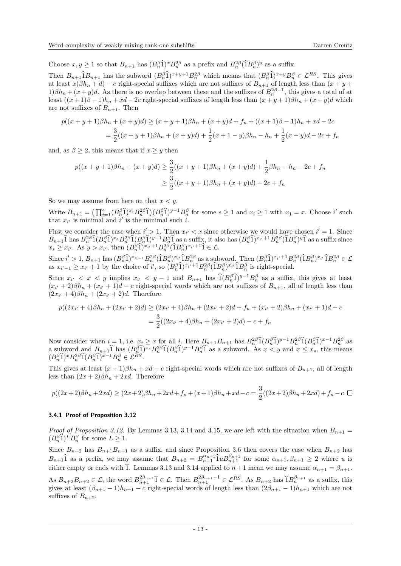Choose  $x, y \ge 1$  so that  $B_{n+1}$  has  $(B_n^{\beta}\hat{1})^x B_n^{2\beta}$  as a prefix and  $B_n^{2\beta}(\hat{1}B_n^{\beta})^y$  as a suffix.

Then  $B_{n+1}$  $\hat{1}B_{n+1}$  has the subword  $(B_n^{\beta}\hat{1})^{x+y+1}B_n^{2\beta}$  which means that  $(B_n^{\beta}\hat{1})^{x+y}B_n^{\beta} \in \mathcal{L}^{RS}$ . This gives at least  $x(\beta h_n + d) - c$  right-special suffixes which are not suffixes of  $B_{n+1}$  of length less than  $(x + y + d)$  $1\beta h_n + (x+y)d$ . As there is no overlap between these and the suffixes of  $B_n^{2\beta-1}$ , this gives a total of at least  $((x+1)\beta-1)h_n+xd-2c$  right-special suffixes of length less than  $(x+y+1)\beta h_n+(x+y)d$  which are not suffixes of  $B_{n+1}$ . Then

$$
p((x+y+1)\beta h_n + (x+y)d) \ge (x+y+1)\beta h_n + (x+y)d + f_n + ((x+1)\beta - 1)h_n + xd - 2c
$$
  
= 
$$
\frac{3}{2}((x+y+1)\beta h_n + (x+y)d) + \frac{1}{2}(x+1-y)\beta h_n - h_n + \frac{1}{2}(x-y)d - 2c + f_n
$$

and, as  $\beta \geq 2$ , this means that if  $x \geq y$  then

$$
p((x+y+1)\beta h_n + (x+y)d) \ge \frac{3}{2}((x+y+1)\beta h_n + (x+y)d) + \frac{1}{2}\beta h_n - h_n - 2c + f_n
$$
  

$$
\ge \frac{3}{2}((x+y+1)\beta h_n + (x+y)d) - 2c + f_n
$$

So we may assume from here on that  $x < y$ .

Write  $B_{n+1} = \left(\prod_{i=1}^s (B_n^{\beta} \hat{1})^{x_i} B_n^{2\beta} \hat{1}\right) (B_n^{\beta} \hat{1})^{y-1} B_n^{\beta}$  for some  $s \ge 1$  and  $x_i \ge 1$  with  $x_1 = x$ . Choose i' such that  $x_{i'}$  is minimal and i' is the minimal such i.

First we consider the case when  $i' > 1$ . Then  $x_{i'} < x$  since otherwise we would have chosen  $i' = 1$ . Since  $B_{n+1}\hat{1}$  has  $B_n^{2\beta}\hat{1}(B_n^{\beta}\hat{1})^{x_s}B_n^{2\beta}\hat{1}(B_n^{\beta}\hat{1})^{y-1}B_n^{\beta}\hat{1}$  as a suffix, it also has  $(B_n^{\beta}\hat{1})^{x_{i'}+1}B_n^{2\beta}(\hat{1}B_n^{\beta})^{y}\hat{1}$  as a suffix since  $x_s \ge x_{i'}$ . As  $y > x_{i'}$ , then  $(B_n^{\beta}\hat{1})^{x_{i'}+1}B_n^{2\beta}(\hat{1}B_n^{\beta})^{x_{i'}+1}\hat{1} \in \mathcal{L}$ .

Since  $i' > 1$ ,  $B_{n+1}$  has  $(B_n^{\beta}\hat{1})^{x_{i'}-1}B_n^{2\beta}(\hat{1}B_n^{\beta})^{x_i}\hat{1}B_n^{2\beta}$  as a subword. Then  $(B_n^{\beta}\hat{1})^{x_{i'}+1}B_n^{2\beta}(\hat{1}B_n^{\beta})^{x_i}\hat{1}B_n^{2\beta} \in \mathcal{L}$ as  $x_{i'-1} \ge x_{i'} + 1$  by the choice of i', so  $(B_n^{\beta}\hat{1})^{x_{i'}+1}B_n^{2\beta}(\hat{1}B_n^{\beta})^{x_{i'}}\hat{1}B_n^{\beta}$  is right-special.

Since  $x_{i'} < x < y$  implies  $x_{i'} < y - 1$  and  $B_{n+1}$  has  $\hat{1}(B_n^{\beta}\hat{1})^{y-1}B_n^{\beta}$  as a suffix, this gives at least  $(x_{i'}+2)\beta h_n + (x_{i'}+1)d - c$  right-special words which are not suffixes of  $B_{n+1}$ , all of length less than  $(2x_{i'} + 4)\beta h_n + (2x_{i'} + 2)d$ . Therefore

$$
p((2x_{i'}+4)\beta h_n + (2x_{i'}+2)d) \ge (2x_{i'}+4)\beta h_n + (2x_{i'}+2)d + f_n + (x_{i'}+2)\beta h_n + (x_{i'}+1)d - c
$$
  
= 
$$
\frac{3}{2}((2x_{i'}+4)\beta h_n + (2x_{i'}+2)d) - c + f_n
$$

Now consider when  $i = 1$ , i.e.  $x_i \geq x$  for all i. Here  $B_{n+1}B_{n+1}$  has  $B_n^{2\beta}\hat{1}(B_n^{\beta}\hat{1})^{y-1}B_n^{2\beta}\hat{1}(B_n^{\beta}\hat{1})^{x-1}B_n^{2\beta}$  as a subword and  $B_{n+1}\hat{1}$  has  $(B_n^{\beta}\hat{1})^{x_s}B_n^{2\beta}\hat{1}(B_n^{\beta}\hat{1})^{y-1}B_n^{\beta}\hat{1}$  as a subword. As  $x < y$  and  $x \le x_s$ , this means  $(B_n^{\beta}\hat{1})^xB_n^{2\beta}\hat{1}(B_n^{\beta}\hat{1})^{x-1}B_n^{\beta} \in \mathcal{L}^{RS}$ .

This gives at least  $(x + 1)\beta h_n + xd - c$  right-special words which are not suffixes of  $B_{n+1}$ , all of length less than  $(2x+2)\beta h_n + 2xd$ . Therefore

$$
p((2x+2)\beta h_n + 2xd) \ge (2x+2)\beta h_n + 2xd + f_n + (x+1)\beta h_n + xd - c = \frac{3}{2}((2x+2)\beta h_n + 2xd) + f_n - c \square
$$

#### 3.4.1 Proof of Proposition [3.12](#page-10-3)

*Proof of Proposition [3.12.](#page-10-3)* By Lemmas [3.13,](#page-10-4) [3.14](#page-11-0) and [3.15,](#page-11-1) we are left with the situation when  $B_{n+1}$  =  $(B_n^{\beta}\hat{1})^L B_n^{\beta}$  for some  $L \geq 1$ .

Since  $B_{n+2}$  has  $B_{n+1}B_{n+1}$  as a suffix, and since Proposition [3.6](#page-9-1) then covers the case when  $B_{n+2}$  has  $B_{n+1}\hat{1}$  as a prefix, we may assume that  $B_{n+2} = B_{n+1}^{\alpha_{n+1}}\hat{1}uB_{n+1}^{\beta_{n+1}}$  for some  $\alpha_{n+1}, \beta_{n+1} \geq 2$  where u is either empty or ends with  $\hat{1}$ . Lemmas [3.13](#page-10-4) and [3.14](#page-11-0) applied to  $n+1$  mean we may assume  $\alpha_{n+1} = \beta_{n+1}$ .

As  $B_{n+2}B_{n+2} \in \mathcal{L}$ , the word  $B_{n+1}^{2\beta_{n+1}} \hat{\mathbf{1}} \in \mathcal{L}$ . Then  $B_{n+1}^{2\beta_{n+1}-1} \in \mathcal{L}^{RS}$ . As  $B_{n+2}$  has  $\hat{\mathbf{1}}B_{n+1}^{\beta_{n+1}}$  as a suffix, this gives at least  $(\beta_{n+1}-1)h_{n+1}-c$  right-special words of length less than  $(2\beta_{n+1}-1)h_{n+1}$  which are not suffixes of  $B_{n+2}$ .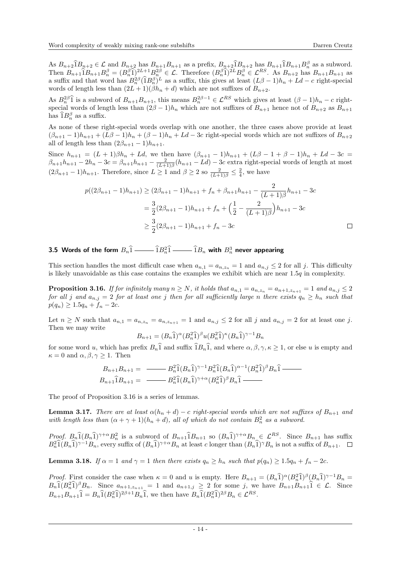As  $B_{n+2}\hat{B}_{n+2} \in \mathcal{L}$  and  $B_{n+2}$  has  $B_{n+1}B_{n+1}$  as a prefix,  $B_{n+2}\hat{B}_{n+2}$  has  $B_{n+1}\hat{B}_{n+1}B_n^{\beta}$  as a subword. Then  $B_{n+1}\hat{B}_{n+1}^{\beta}B_{n}^{\beta} = (B_{n}^{\beta}\hat{1})^{2L+1}B_{n}^{2\beta} \in \mathcal{L}$ . Therefore  $(B_{n}^{\beta}\hat{1})^{2L}B_{n}^{\beta} \in \mathcal{L}^{RS}$ . As  $B_{n+2}$  has  $B_{n+1}B_{n+1}$  as a suffix and that word has  $B_n^{2\beta}(\hat{\Pi}B_n^{\beta})^L$  as a suffix, this gives at least  $(L\beta - 1)h_n + Ld - c$  right-special words of length less than  $(2L+1)(\beta h_n + d)$  which are not suffixes of  $B_{n+2}$ .

As  $B_n^{2\beta}$  is a subword of  $B_{n+1}B_{n+1}$ , this means  $B_n^{2\beta-1} \in \mathcal{L}^{RS}$  which gives at least  $(\beta - 1)h_n - c$  rightspecial words of length less than  $(2\beta - 1)h_n$  which are not suffixes of  $B_{n+1}$  hence not of  $B_{n+2}$  as  $B_{n+1}$ has  $\widehat{1}B_n^{\beta}$  as a suffix.

As none of these right-special words overlap with one another, the three cases above provide at least  $(\beta_{n+1}-1)h_{n+1}+(L\beta-1)h_n+(\beta-1)h_n+Ld-3c$  right-special words which are not suffixes of  $B_{n+2}$ all of length less than  $(2\beta_{n+1} - 1)h_{n+1}$ .

Since  $h_{n+1} = (L + 1)\beta h_n + Ld$ , we then have  $(\beta_{n+1} - 1)h_{n+1} + (L\beta - 1 + \beta - 1)h_n + Ld - 3c =$  $\beta_{n+1}h_{n+1}-2h_n-3c=\beta_{n+1}h_{n+1}-\frac{2}{(L+1)\beta}(h_{n+1}-Ld)-3c$  extra right-special words of length at most  $(2\beta_{n+1}-1)h_{n+1}$ . Therefore, since  $L \geq 1$  and  $\beta \geq 2$  so  $\frac{2}{(L+1)\beta} \leq \frac{2}{4}$ , we have

$$
p((2\beta_{n+1}-1)h_{n+1}) \ge (2\beta_{n+1}-1)h_{n+1} + f_n + \beta_{n+1}h_{n+1} - \frac{2}{(L+1)\beta}h_{n+1} - 3c
$$
  
=  $\frac{3}{2}(2\beta_{n+1}-1)h_{n+1} + f_n + \left(\frac{1}{2} - \frac{2}{(L+1)\beta}\right)h_{n+1} - 3c$   
 $\ge \frac{3}{2}(2\beta_{n+1}-1)h_{n+1} + f_n - 3c$ 

# 3.5 Words of the form  $B_n\widehat{1}$  —— $\widehat{1}B_n^2\widehat{1}$  —— $\widehat{1}B_n$  with  $B_n^3$  never appearing

This section handles the most difficult case when  $a_{n,1} = a_{n,z_n} = 1$  and  $a_{n,j} \leq 2$  for all j. This difficulty is likely unavoidable as this case contains the examples we exhibit which are near  $1.5q$  in complexity.

<span id="page-13-0"></span>**Proposition 3.16.** If for infinitely many  $n \geq N$ , it holds that  $a_{n,1} = a_{n,z_n} = a_{n+1,z_{n+1}} = 1$  and  $a_{n,j} \leq 2$ for all j and  $a_{n,j} = 2$  for at least one j then for all sufficiently large n there exists  $q_n \geq h_n$  such that  $p(q_n) \geq 1.5q_n + f_n - 2c$ .

Let  $n \geq N$  such that  $a_{n,1} = a_{n,z_n} = a_{n,z_{n+1}} = 1$  and  $a_{n,j} \leq 2$  for all j and  $a_{n,j} = 2$  for at least one j. Then we may write

$$
B_{n+1} = (B_n \widehat{1})^{\alpha} (B_n^2 \widehat{1})^{\beta} u (B_n^2 \widehat{1})^{\kappa} (B_n \widehat{1})^{\gamma - 1} B_n
$$

for some word u, which has prefix  $B_n$ 1 and suffix  $1B_n$ 1, and where  $\alpha, \beta, \gamma, \kappa \ge 1$ , or else u is empty and  $\kappa = 0$  and  $\alpha, \beta, \gamma \geq 1$ . Then

$$
B_{n+1}B_{n+1} = \underline{B_n^2 \hat{1}(B_n \hat{1})^{\gamma-1} B_n^2 \hat{1}(B_n \hat{1})^{\alpha-1} (B_n^2 \hat{1})^{\beta} B_n \hat{1}} \underline{B_{n+1} \hat{1} B_{n+1}} = \underline{B_n^2 \hat{1}(B_n \hat{1})^{\gamma+\alpha} (B_n^2 \hat{1})^{\beta} B_n \hat{1}} \underline{B_{n+1}}
$$

The proof of Proposition [3.16](#page-13-0) is a series of lemmas.

<span id="page-13-1"></span>**Lemma 3.17.** There are at least  $\alpha(h_n + d) - c$  right-special words which are not suffixes of  $B_{n+1}$  and with length less than  $(\alpha + \gamma + 1)(h_n + d)$ , all of which do not contain  $B_n^2$  as a subword.

Proof.  $B_n \hat{1}(B_n \hat{1})^{\gamma+\alpha} B_n^2$  is a subword of  $B_{n+1} \hat{1} B_{n+1}$  so  $(B_n \hat{1})^{\gamma+\alpha} B_n \in \mathcal{L}^{RS}$ . Since  $B_{n+1}$  has suffix  $B_n^2 \hat{1}(B_n \hat{1})^{\gamma-1}B_n$ , every suffix of  $(B_n \hat{1})^{\gamma+\alpha}B_n$  at least c longer than  $(B_n \hat{1})^{\gamma}B_n$  is not a suffix of  $B_{n+1}$ .

<span id="page-13-2"></span>**Lemma 3.18.** If  $\alpha = 1$  and  $\gamma = 1$  then there exists  $q_n \geq h_n$  such that  $p(q_n) \geq 1.5q_n + f_n - 2c$ .

Proof. First consider the case when  $\kappa = 0$  and u is empty. Here  $B_{n+1} = (B_n \hat{1})^{\alpha} (B_n^2 \hat{1})^{\beta} (B_n \hat{1})^{\gamma-1} B_n = B_n \hat{1} (B_n^2 \hat{1})^{\beta} B_n$ . Since  $a_{n+1, z_{n+1}} = 1$  and  $a_{n+1, j} \ge 2$  for some j, we have  $B_{n+1} B_{n+1} \hat$  $B_{n+1}B_{n+1}\hat{1} = B_n\hat{1}(B_n^2\hat{1})^{2\beta+1}B_n\hat{1}$ , we then have  $B_n\hat{1}(B_n^2\hat{1})^{2\beta}B_n \in \mathcal{L}^{RS}$ .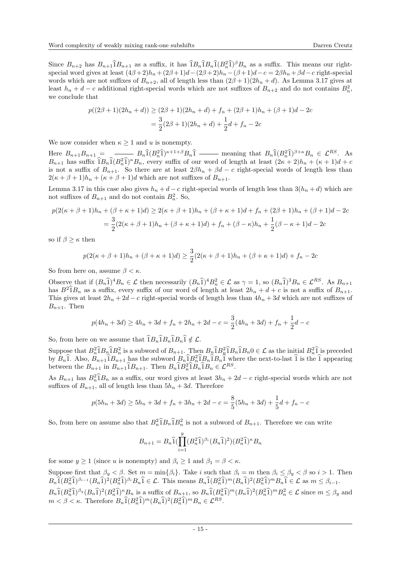Since  $B_{n+2}$  has  $B_{n+1}$  $\hat{1}B_{n+1}$  as a suffix, it has  $\hat{1}B_n \hat{1}B_n \hat{1} (B_n^2 \hat{1})^{\beta}B_n$  as a suffix. This means our rightspecial word gives at least  $(4\beta+2)h_n+(2\beta+1)d-(2\beta+2)h_n-(\beta+1)d-c=2\beta h_n+\beta d-c$  right-special words which are not suffixes of  $B_{n+2}$ , all of length less than  $(2\beta+1)(2h_n+d)$ . As Lemma [3.17](#page-13-1) gives at least  $h_n + d - c$  additional right-special words which are not suffixes of  $B_{n+2}$  and do not contains  $B_n^2$ , we conclude that

$$
p((2\beta+1)(2h_n+d)) \ge (2\beta+1)(2h_n+d) + f_n + (2\beta+1)h_n + (\beta+1)d - 2c
$$
  
= 
$$
\frac{3}{2}(2\beta+1)(2h_n+d) + \frac{1}{2}d + f_n - 2c
$$

We now consider when  $\kappa \geq 1$  and u is nonempty.

Here  $B_{n+1}B_{n+1} = \frac{B_n \hat{1}(B_n^2 \hat{1})^{\kappa+1+\beta} B_n \hat{1}}{B_n \hat{1}(B_n^2 \hat{1})^{\kappa+1}}$  meaning that  $B_n \hat{1}(B_n^2 \hat{1})^{\beta+\kappa} B_n \in \mathcal{L}^{RS}$ . As  $B_{n+1}$  has suffix  $\hat{1}B_n\hat{1}(B_n^2\hat{1})^kB_n$ , every suffix of our word of length at least  $(2\kappa+2)h_n + (\kappa+1)d + c$ is not a suffix of  $B_{n+1}$ . So there are at least  $2\beta h_n + \beta d - c$  right-special words of length less than  $2(\kappa + \beta + 1)h_n + (\kappa + \beta + 1)d$  which are not suffixes of  $B_{n+1}$ .

Lemma [3.17](#page-13-1) in this case also gives  $h_n + d - c$  right-special words of length less than  $3(h_n + d)$  which are not suffixes of  $B_{n+1}$  and do not contain  $B_n^2$ . So,

$$
p(2(\kappa + \beta + 1)h_n + (\beta + \kappa + 1)d) \ge 2(\kappa + \beta + 1)h_n + (\beta + \kappa + 1)d + f_n + (2\beta + 1)h_n + (\beta + 1)d - 2c
$$
  
= 
$$
\frac{3}{2}(2(\kappa + \beta + 1)h_n + (\beta + \kappa + 1)d) + f_n + (\beta - \kappa)h_n + \frac{1}{2}(\beta - \kappa + 1)d - 2c
$$

so if  $\beta > \kappa$  then

$$
p(2(\kappa + \beta + 1)h_n + (\beta + \kappa + 1)d) \ge \frac{3}{2}(2(\kappa + \beta + 1)h_n + (\beta + \kappa + 1)d) + f_n - 2c
$$

So from here on, assume  $\beta < \kappa$ .

Observe that if  $(B_n\hat{1})^4B_n \in \mathcal{L}$  then necessarily  $(B_n\hat{1})^4B_n^2 \in \mathcal{L}$  as  $\gamma = 1$ , so  $(B_n\hat{1})^3B_n \in \mathcal{L}^{RS}$ . As  $B_{n+1}$ has  $B^2\hat{1}B_n$  as a suffix, every suffix of our word of length at least  $2h_n + d + c$  is not a suffix of  $B_{n+1}$ . This gives at least  $2h_n + 2d - c$  right-special words of length less than  $4h_n + 3d$  which are not suffixes of  $B_{n+1}$ . Then

$$
p(4h_n + 3d) \ge 4h_n + 3d + f_n + 2h_n + 2d - c = \frac{3}{2}(4h_n + 3d) + f_n + \frac{1}{2}d - c
$$

So, from here on we assume that  $1B_n 1B_n 1B_n 1 \notin \mathcal{L}$ .

Suppose that  $B_n^2 \hat{1} B_n \hat{1} B_n^2$  is a subword of  $B_{n+1}$ . Then  $B_n \hat{1} B_n^2 \hat{1} B_n \hat{1} B_n 0 \in \mathcal{L}$  as the initial  $B_n^2 \hat{1}$  is preceded<br>by  $B_n \hat{1}$ . Also,  $B_{n+1} \hat{1} B_{n+1}$  has the subword  $B_n \hat{1} B_n^2 \hat{1} B_n \hat$ between the  $B_{n+1}$  in  $B_{n+1}$  $\hat{1}B_{n+1}$ . Then  $B_n \hat{1}B_n^2 \hat{1}B_n \hat{1}B_n \in \mathcal{L}^{RS}$ .

As  $B_{n+1}$  has  $B_n^2 \hat{1} B_n$  as a suffix, our word gives at least  $3h_n + 2d - c$  right-special words which are not suffixes of  $B_{n+1}$ , all of length less than  $5h_n + 3d$ . Therefore

$$
p(5h_n + 3d) \ge 5h_n + 3d + f_n + 3h_n + 2d - c = \frac{8}{5}(5h_n + 3d) + \frac{1}{5}d + f_n - c
$$

So, from here on assume also that  $B_n^2 \hat{\mathbb{1}} B_n \hat{\mathbb{1}} B_n^2$  is not a subword of  $B_{n+1}$ . Therefore we can write

$$
B_{n+1} = B_n \widehat{1}(\prod_{i=1}^y (B_n^2 \widehat{1})^{\beta_i} (B_n \widehat{1})^2) (B_n^2 \widehat{1})^{\kappa} B_n
$$

for some  $y \ge 1$  (since u is nonempty) and  $\beta_i \ge 1$  and  $\beta_1 = \beta < \kappa$ .

Suppose first that  $\beta_y < \beta$ . Set  $m = \min\{\beta_i\}$ . Take i such that  $\beta_i = m$  then  $\beta_i \le \beta_y < \beta$  so  $i > 1$ . Then  $B_n \hat{1}(B_n^2 \hat{1})^{\beta_{i-1}}(B_n \hat{1})^2(B_n^2 \hat{1})^{\beta_i}B_n \hat{1} \in \mathcal{L}$ . This means  $B_n \hat{1}(B_n^2 \hat{1})^m(B_n \hat{1})^2(B_n^2 \hat{1})^m B_n \hat{1} \in \mathcal{L}$  as  $m \leq \beta_{i-1}$ .  $B_n\hat{1}(B_n^2\hat{1})^{\beta_y}(B_n\hat{1})^2(B_n^2\hat{1})^{\kappa}B_n$  is a suffix of  $B_{n+1}$ , so  $B_n\hat{1}(B_n^2\hat{1})^m(B_n\hat{1})^2(B_n^2\hat{1})^mB_n^2 \in \mathcal{L}$  since  $m \leq \beta_y$  and  $m < \beta < \kappa$ . Therefore  $B_n \widehat{1}(B_n^2 \widehat{1})^m (B_n \widehat{1})^2 (B_n^2 \widehat{1})^m B_n \in \mathcal{L}^{RS}$ .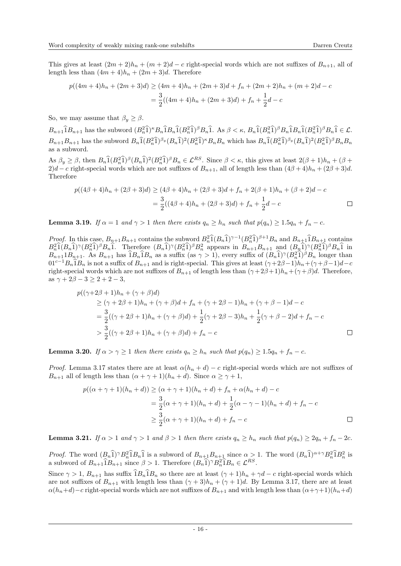This gives at least  $(2m + 2)h_n + (m + 2)d - c$  right-special words which are not suffixes of  $B_{n+1}$ , all of length less than  $(4m + 4)h_n + (2m + 3)d$ . Therefore

$$
p((4m+4)h_n + (2m+3)d) \ge (4m+4)h_n + (2m+3)d + f_n + (2m+2)h_n + (m+2)d - c
$$
  
= 
$$
\frac{3}{2}((4m+4)h_n + (2m+3)d) + f_n + \frac{1}{2}d - c
$$

So, we may assume that  $\beta_y \geq \beta$ .

 $B_{n+1}\hat{\mathbf{1}}B_{n+1}$  has the subword  $(B_n^2\hat{\mathbf{1}})^{\kappa}B_n\hat{\mathbf{1}}B_n\hat{\mathbf{1}}(B_n^2\hat{\mathbf{1}})^{\beta}B_n\hat{\mathbf{1}}$ . As  $\beta < \kappa$ ,  $B_n\hat{\mathbf{1}}(B_n^2\hat{\mathbf{1}})^{\beta}B_n\hat{\mathbf{1}}B_n\hat{\mathbf{1}}(B_n^2\hat{\mathbf{1}})^{\beta}B_n\hat{\mathbf{1}} \in \mathcal{L}$ .  $B_{n+1}B_{n+1}$  has the subword  $B_n\hat{1}(B_n^2\hat{1})^{\beta_y}(B_n\hat{1})^2(B_n^2\hat{1})^{\kappa}B_nB_n$  which has  $B_n\hat{1}(B_n^2\hat{1})^{\beta_y}(B_n\hat{1})^2(B_n^2\hat{1})^{\beta}B_nB_n$ as a subword.

As  $\beta_y \ge \beta$ , then  $B_n \widehat{1}(B_n^2 \widehat{1})^{\beta} (B_n \widehat{1})^2 (B_n^2 \widehat{1})^{\beta} B_n \in \mathcal{L}^{RS}$ . Since  $\beta < \kappa$ , this gives at least  $2(\beta + 1)h_n + (\beta + \beta)$ 2)d – c right-special words which are not suffixes of  $B_{n+1}$ , all of length less than  $(4\beta + 4)h_n + (2\beta + 3)d$ . Therefore

$$
p((4\beta + 4)h_n + (2\beta + 3)d) \ge (4\beta + 4)h_n + (2\beta + 3)d + f_n + 2(\beta + 1)h_n + (\beta + 2)d - c
$$
  
= 
$$
\frac{3}{2}((4\beta + 4)h_n + (2\beta + 3)d) + f_n + \frac{1}{2}d - c
$$

<span id="page-15-0"></span>**Lemma 3.19.** If  $\alpha = 1$  and  $\gamma > 1$  then there exists  $q_n \geq h_n$  such that  $p(q_n) \geq 1.5q_n + f_n - c$ .

*Proof.* In this case,  $B_{n+1}B_{n+1}$  contains the subword  $B_n^2\hat{1}(B_n\hat{1})^{\gamma-1}(B_n^2\hat{1})^{\beta+1}B_n$  and  $B_{n+1}\hat{1}B_{n+1}$  contains  $B_n^2\hat{1}(B_n\hat{1})^{\gamma-1}(B_n^2\hat{1})^{\beta+1}B_n$  and  $B_{n+1}\hat{1}B_{n+1}$  contains  $B_n^2 \hat{1}(B_n \hat{1})^{\gamma} (B_n^2 \hat{1})^{\beta} B_n \hat{1}$ . Therefore  $(B_n \hat{1})^{\gamma} (B_n^2 \hat{1})^{\beta} B_n^2$  appears in  $B_{n+1} B_{n+1}$  and  $(B_n \hat{1})^{\gamma} (B_n^2 \hat{1})^{\beta} B_n \hat{1}$  in  $B_{n+1}B_{n+1}$ . As  $B_{n+1}$  has  $\hat{i}B_n\hat{i}B_n$  as a suffix (as  $\gamma > 1$ ), every suffix of  $(B_n\hat{i})^{\gamma}(B_n^2\hat{i})^{\beta}B_n$  longer than  $01^{c-1}B_n\hat{1}B_n$  is not a suffix of  $B_{n+1}$  and is right-special. This gives at least  $(\gamma+2\beta-1)h_n+(\gamma+\beta-1)d-c$ right-special words which are not suffixes of  $B_{n+1}$  of length less than  $(\gamma + 2\beta + 1)h_n + (\gamma + \beta)d$ . Therefore, as  $\gamma + 2\beta - 3 > 2 + 2 - 3$ ,

$$
p((\gamma + 2\beta + 1)h_n + (\gamma + \beta)d)
$$
  
\n
$$
\geq (\gamma + 2\beta + 1)h_n + (\gamma + \beta)d + f_n + (\gamma + 2\beta - 1)h_n + (\gamma + \beta - 1)d - c
$$
  
\n
$$
= \frac{3}{2}((\gamma + 2\beta + 1)h_n + (\gamma + \beta)d) + \frac{1}{2}(\gamma + 2\beta - 3)h_n + \frac{1}{2}(\gamma + \beta - 2)d + f_n - c
$$
  
\n
$$
> \frac{3}{2}((\gamma + 2\beta + 1)h_n + (\gamma + \beta)d) + f_n - c
$$

<span id="page-15-1"></span>**Lemma 3.20.** If  $\alpha > \gamma \geq 1$  then there exists  $q_n \geq h_n$  such that  $p(q_n) \geq 1.5q_n + f_n - c$ .

*Proof.* Lemma [3.17](#page-13-1) states there are at least  $\alpha(h_n + d) - c$  right-special words which are not suffixes of  $B_{n+1}$  all of length less than  $(\alpha + \gamma + 1)(h_n + d)$ . Since  $\alpha \geq \gamma + 1$ ,

$$
p((\alpha + \gamma + 1)(h_n + d)) \ge (\alpha + \gamma + 1)(h_n + d) + f_n + \alpha(h_n + d) - c
$$
  
= 
$$
\frac{3}{2}(\alpha + \gamma + 1)(h_n + d) + \frac{1}{2}(\alpha - \gamma - 1)(h_n + d) + f_n - c
$$
  

$$
\ge \frac{3}{2}(\alpha + \gamma + 1)(h_n + d) + f_n - c
$$

<span id="page-15-2"></span>**Lemma 3.21.** If  $\alpha > 1$  and  $\gamma > 1$  and  $\beta > 1$  then there exists  $q_n \geq h_n$  such that  $p(q_n) \geq 2q_n + f_n - 2c$ .

*Proof.* The word  $(B_n \hat{I})^{\gamma} B_n^2 \hat{I} B_n \hat{I}$  is a subword of  $B_{n+1} B_{n+1}$  since  $\alpha > 1$ . The word  $(B_n \hat{I})^{\alpha+\gamma} B_n^2 \hat{I} B_n^2$  is a subword of  $B_{n+1} \hat{1} B_{n+1}$  since  $\beta > 1$ . Therefore  $(B_n \hat{1})^{\gamma} B_n^2 \hat{1} B_n \in \mathcal{L}^{RS}$ .

Since  $\gamma > 1$ ,  $B_{n+1}$  has suffix  $1B_n 1B_n$  so there are at least  $(\gamma + 1)h_n + \gamma d - c$  right-special words which are not suffixes of  $B_{n+1}$  with length less than  $(\gamma + 3)h_n + (\gamma + 1)d$ . By Lemma [3.17,](#page-13-1) there are at least  $\alpha(h_n+d)-c$  right-special words which are not suffixes of  $B_{n+1}$  and with length less than  $(\alpha+\gamma+1)(h_n+d)$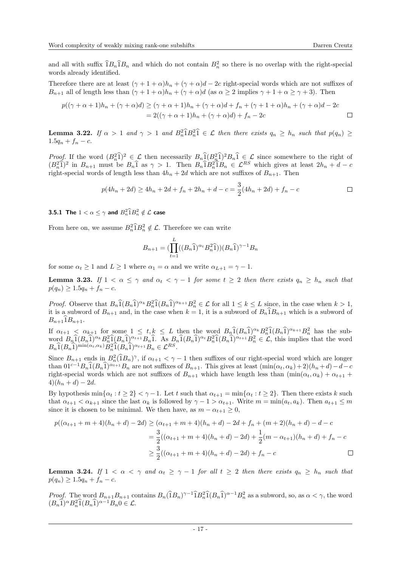and all with suffix  $\hat{1}B_n\hat{1}B_n$  and which do not contain  $B_n^2$  so there is no overlap with the right-special words already identified.

Therefore there are at least  $(\gamma + 1 + \alpha)h_n + (\gamma + \alpha)d - 2c$  right-special words which are not suffixes of  $B_{n+1}$  all of length less than  $(\gamma + 1 + \alpha)h_n + (\gamma + \alpha)d$  (as  $\alpha \ge 2$  implies  $\gamma + 1 + \alpha \ge \gamma + 3$ ). Then

$$
p((\gamma + \alpha + 1)h_n + (\gamma + \alpha)d) \geq (\gamma + \alpha + 1)h_n + (\gamma + \alpha)d + f_n + (\gamma + 1 + \alpha)h_n + (\gamma + \alpha)d - 2c
$$
  
= 2((\gamma + \alpha + 1)h\_n + (\gamma + \alpha)d) + f\_n - 2c

<span id="page-16-0"></span>**Lemma 3.22.** If  $\alpha > 1$  and  $\gamma > 1$  and  $B_n^2 \widehat{B}_n^2 \widehat{B}_n \in \mathcal{L}$  then there exists  $q_n \geq h_n$  such that  $p(q_n) \geq$  $1.5q_n + f_n - c.$ 

*Proof.* If the word  $(B_n^2\hat{1})^2 \in \mathcal{L}$  then necessarily  $B_n\hat{1}(B_n^2\hat{1})^2B_n\hat{1} \in \mathcal{L}$  since somewhere to the right of  $(B_n^2\hat{I})^2$  in  $B_{n+1}$  must be  $B_n\hat{I}$  as  $\gamma > 1$ . Then  $B_n\hat{I}B_n^2\hat{I}B_n \in \mathcal{L}^{RS}$  which gives at least  $2h_n + d - c$ right-special words of length less than  $4h_n + 2d$  which are not suffixes of  $B_{n+1}$ . Then

$$
p(4h_n + 2d) \ge 4h_n + 2d + f_n + 2h_n + d - c = \frac{3}{2}(4h_n + 2d) + f_n - c
$$

**3.5.1** The  $1 < \alpha \leq \gamma$  and  $B_n^2 \widehat{1} B_n^2 \notin \mathcal{L}$  case

From here on, we assume  $B_n^2 \hat{\mathbf{I}} B_n^2 \notin \mathcal{L}$ . Therefore we can write

$$
B_{n+1} = (\prod_{t=1}^{L} ((B_n \widehat{1})^{\alpha_t} B_n^2 \widehat{1})) (B_n \widehat{1})^{\gamma - 1} B_n
$$

for some  $\alpha_t \geq 1$  and  $L \geq 1$  where  $\alpha_1 = \alpha$  and we write  $\alpha_{L+1} = \gamma - 1$ .

<span id="page-16-1"></span>**Lemma 3.23.** If  $1 < \alpha \leq \gamma$  and  $\alpha_t < \gamma - 1$  for some  $t \geq 2$  then there exists  $q_n \geq h_n$  such that  $p(q_n) \geq 1.5q_n + f_n - c.$ 

*Proof.* Observe that  $B_n \widehat{1}(B_n \widehat{1})^{\alpha_k} B_n^2 \widehat{1}(B_n \widehat{1})^{\alpha_{k+1}} B_n^2 \in \mathcal{L}$  for all  $1 \le k \le L$  since, in the case when  $k > 1$ , it is a subword of  $B_{n+1}$  and, in the case when  $k = 1$ , it is a subword of  $B_n \overline{1}B_{n+1}$  which is a subword of  $B_{n+1}IB_{n+1}$ .

If  $\alpha_{t+1} < \alpha_{k+1}$  for some  $1 \leq t, k \leq L$  then the word  $B_n \widehat{1}(B_n \widehat{1})^{\alpha_k} B_n^2 \widehat{1}(B_n \widehat{1})^{\alpha_{k+1}} B_n^2$  has the subword  $B_n \hat{1}(B_n \hat{1})^{\alpha_k} B_n^2 \hat{1}(B_n \hat{1})^{\alpha_{t+1}} B_n \hat{1}$ . As  $B_n \hat{1}(B_n \hat{1})^{\alpha_t} B_n^2 \hat{1}(B_n \hat{1})^{\alpha_{t+1}} B_n^2 \in \mathcal{L}$ , this implies that the word  $B_n \hat{1}(B_n \hat{1})^{\min(\alpha_t, \alpha_k)} B_n^2 \hat{1}(B_n \hat{1})^{\alpha_{t+1}} B_n \in \mathcal{L}^{RS}.$ 

Since  $B_{n+1}$  ends in  $B_n^2(\hat{B}_n)^\gamma$ , if  $\alpha_{t+1} < \gamma - 1$  then suffixes of our right-special word which are longer than  $01^{c-1}B_n\hat{1}(B_n\hat{1})^{\alpha_{t+1}}B_n$  are not suffixes of  $B_{n+1}$ . This gives at least  $(\min(\alpha_t, \alpha_k) + 2)(h_n + d) - d - c$ right-special words which are not suffixes of  $B_{n+1}$  which have length less than  $(\min(\alpha_t, \alpha_k) + \alpha_{t+1} + \alpha_t)$  $4(h_n + d) - 2d$ .

By hypothesis  $\min\{\alpha_t : t \geq 2\} < \gamma - 1$ . Let t such that  $\alpha_{t+1} = \min\{\alpha_t : t \geq 2\}$ . Then there exists k such that  $\alpha_{t+1} < \alpha_{k+1}$  since the last  $\alpha_k$  is followed by  $\gamma - 1 > \alpha_{t+1}$ . Write  $m = \min(a_t, a_k)$ . Then  $a_{t+1} \leq m$ since it is chosen to be minimal. We then have, as  $m - \alpha_{t+1} \geq 0$ ,

$$
p((\alpha_{t+1} + m + 4)(h_n + d) - 2d) \ge (\alpha_{t+1} + m + 4)(h_n + d) - 2d + f_n + (m+2)(h_n + d) - d - c
$$
  
= 
$$
\frac{3}{2}((\alpha_{t+1} + m + 4)(h_n + d) - 2d) + \frac{1}{2}(m - \alpha_{t+1})(h_n + d) + f_n - c
$$
  

$$
\ge \frac{3}{2}((\alpha_{t+1} + m + 4)(h_n + d) - 2d) + f_n - c
$$

<span id="page-16-2"></span>**Lemma 3.24.** If  $1 < \alpha < \gamma$  and  $\alpha_t \geq \gamma - 1$  for all  $t \geq 2$  then there exists  $q_n \geq h_n$  such that  $p(q_n) \geq 1.5q_n + f_n - c.$ 

Proof. The word  $B_{n+1}B_{n+1}$  contains  $B_n(\hat{1}B_n)^{\gamma-1}\hat{1}B_n^2\hat{1}(B_n\hat{1})^{\alpha-1}B_n^2$  as a subword, so, as  $\alpha < \gamma$ , the word  $(B_n\widehat{1})^{\alpha}B_n^2\widehat{1}(B_n\widehat{1})^{\alpha-1}B_n0 \in \mathcal{L}.$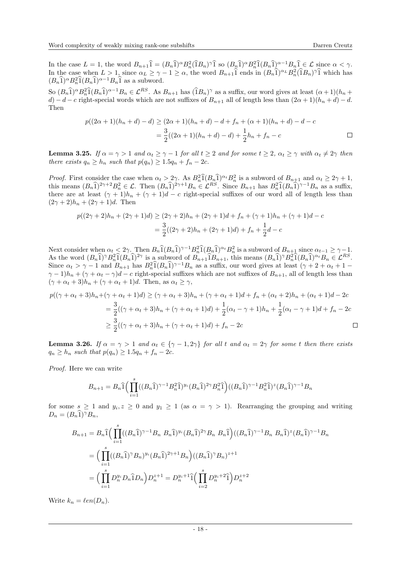In the case  $L = 1$ , the word  $B_{n+1} \hat{1} = (B_n \hat{1})^\alpha B_n^2 (\hat{1}B_n)^\gamma \hat{1}$  so  $(B_n \hat{1})^\alpha B_n^2 \hat{1} (B_n \hat{1})^{\alpha-1} B_n \hat{1} \in \mathcal{L}$  since  $\alpha < \gamma$ . In the case when  $L > 1$ , since  $\alpha_L \geq \gamma - 1 \geq \alpha$ , the word  $B_{n+1}\hat{1}$  ends in  $(B_n\hat{1})^{\alpha_L}B_n^2(\hat{1}B_n)^{\gamma}\hat{1}$  which has  $(B_n \hat{1})^{\alpha} B_n^2 \hat{1}(B_n \hat{1})^{\alpha-1} B_n \hat{1}$  as a subword.

So  $(B_n \hat{1})^{\alpha} B_n^2 \hat{1}(B_n \hat{1})^{\alpha-1} B_n \in \mathcal{L}^{RS}$ . As  $B_{n+1}$  has  $(\hat{1}B_n)^{\gamma}$  as a suffix, our word gives at least  $(\alpha+1)(h_n+\alpha)$ d) − d − c right-special words which are not suffixes of  $B_{n+1}$  all of length less than  $(2\alpha+1)(h_n+d)-d$ . Then

$$
p((2\alpha+1)(h_n+d)-d) \ge (2\alpha+1)(h_n+d)-d+f_n+(\alpha+1)(h_n+d)-d-c
$$
  
= 
$$
\frac{3}{2}((2\alpha+1)(h_n+d)-d)+\frac{1}{2}h_n+f_n-c
$$

<span id="page-17-0"></span>**Lemma 3.25.** If  $\alpha = \gamma > 1$  and  $\alpha_t \geq \gamma - 1$  for all  $t \geq 2$  and for some  $t \geq 2$ ,  $\alpha_t \geq \gamma$  with  $\alpha_t \neq 2\gamma$  then there exists  $q_n \geq h_n$  such that  $p(q_n) \geq 1.5q_n + f_n - 2c$ .

*Proof.* First consider the case when  $\alpha_t > 2\gamma$ . As  $B_n^2 \hat{1}(B_n \hat{1})^{\alpha_t} B_n^2$  is a subword of  $B_{n+1}$  and  $\alpha_t \geq 2\gamma + 1$ , this means  $(B_n \hat{1})^{2\gamma+2} B_n^2 \in \mathcal{L}$ . Then  $(B_n \hat{1})^{2\gamma+1} B_n \in \mathcal{L}^{RS}$ . Since  $B_{n+1}$  has  $B_n^2 \hat{1}(B_n \hat{1})^{\gamma-1} B_n$  as a suffix, there are at least  $(\gamma + 1)h_n + (\gamma + 1)d - c$  right-special suffixes of our word all of length less than  $(2\gamma + 2)h_n + (2\gamma + 1)d$ . Then

$$
p((2\gamma + 2)h_n + (2\gamma + 1)d) \ge (2\gamma + 2)h_n + (2\gamma + 1)d + f_n + (\gamma + 1)h_n + (\gamma + 1)d - c
$$
  
= 
$$
\frac{3}{2}((2\gamma + 2)h_n + (2\gamma + 1)d) + f_n + \frac{1}{2}d - c
$$

Next consider when  $\alpha_t < 2\gamma$ . Then  $B_n \hat{1}(B_n \hat{1})^{\gamma-1} B_n^2 \hat{1}(B_n \hat{1})^{\alpha_t} B_n^2$  is a subword of  $B_{n+1}$  since  $\alpha_{t-1} \geq \gamma-1$ . As the word  $(B_n\hat{1})^{\gamma}B_n^2\hat{1}(B_n\hat{1})^{2\gamma}$  is a subword of  $B_{n+1}\hat{1}B_{n+1}$ , this means  $(B_n\hat{1})^{\gamma}B_n^2\hat{1}(B_n\hat{1})^{\alpha_t}B_n \in \mathcal{L}^{RS}$ . Since  $\alpha_t > \gamma - 1$  and  $B_{n+1}$  has  $B_n^2 \hat{1}(B_n \hat{1})^{\gamma - 1} B_n$  as a suffix, our word gives at least  $(\gamma + 2 + \alpha_t + 1 \gamma - 1/h_n + (\gamma + \alpha_t - \gamma)d - c$  right-special suffixes which are not suffixes of  $B_{n+1}$ , all of length less than  $(\gamma + \alpha_t + 3)h_n + (\gamma + \alpha_t + 1)d$ . Then, as  $\alpha_t \geq \gamma$ ,

$$
p((\gamma + \alpha_t + 3)h_n + (\gamma + \alpha_t + 1)d) \ge (\gamma + \alpha_t + 3)h_n + (\gamma + \alpha_t + 1)d + f_n + (\alpha_t + 2)h_n + (\alpha_t + 1)d - 2c
$$
  
= 
$$
\frac{3}{2}((\gamma + \alpha_t + 3)h_n + (\gamma + \alpha_t + 1)d) + \frac{1}{2}(\alpha_t - \gamma + 1)h_n + \frac{1}{2}(\alpha_t - \gamma + 1)d + f_n - 2c
$$
  

$$
\ge \frac{3}{2}((\gamma + \alpha_t + 3)h_n + (\gamma + \alpha_t + 1)d) + f_n - 2c
$$

<span id="page-17-1"></span>**Lemma 3.26.** If  $\alpha = \gamma > 1$  and  $\alpha_t \in {\gamma - 1, 2\gamma}$  for all t and  $\alpha_t = 2\gamma$  for some t then there exists  $q_n \geq h_n$  such that  $p(q_n) \geq 1.5q_n + f_n - 2c$ .

Proof. Here we can write

$$
B_{n+1} = B_n \hat{1} \Big( \prod_{i=1}^s ((B_n \hat{1})^{\gamma - 1} B_n^2 \hat{1})^{y_i} (B_n \hat{1})^{2\gamma} B_n^2 \hat{1} \Big) ((B_n \hat{1})^{\gamma - 1} B_n^2 \hat{1})^z (B_n \hat{1})^{\gamma - 1} B_n
$$

for some  $s \geq 1$  and  $y_i, z \geq 0$  and  $y_1 \geq 1$  (as  $\alpha = \gamma > 1$ ). Rearranging the grouping and writing  $D_n = (B_n \widehat{1})^{\gamma} B_n,$ 

$$
B_{n+1} = B_n \hat{1} \Big( \prod_{i=1}^s ((B_n \hat{1})^{\gamma - 1} B_n B_n \hat{1})^{y_i} (B_n \hat{1})^{2\gamma} B_n B_n \hat{1} \Big) ((B_n \hat{1})^{\gamma - 1} B_n B_n \hat{1})^z (B_n \hat{1})^{\gamma - 1} B_n
$$
  
= 
$$
\Big( \prod_{i=1}^s ((B_n \hat{1})^{\gamma} B_n)^{y_i} (B_n \hat{1})^{2\gamma + 1} B_n \Big) ((B_n \hat{1})^{\gamma} B_n)^{z+1}
$$
  
= 
$$
\Big( \prod_{i=1}^s D_n^{y_i} D_n \hat{1} D_n \Big) D_n^{z+1} = D_n^{y_i+1} \hat{1} \Big( \prod_{i=2}^s D_n^{y_i+2} \hat{1} \Big) D_n^{z+2}
$$

Write  $k_n = \ell en(D_n)$ .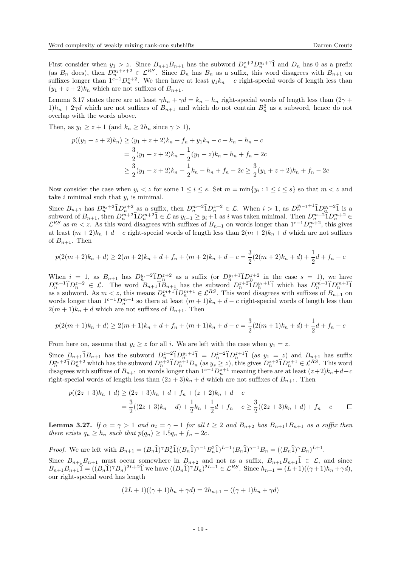First consider when  $y_1 > z$ . Since  $B_{n+1}B_{n+1}$  has the subword  $D_n^{z+2}D_n^{y_1+1}$  and  $D_n$  has 0 as a prefix (as  $B_n$  does), then  $D_n^{y_1+z+2} \in \mathcal{L}^{RS}$ . Since  $D_n$  has  $B_n$  as a suffix, this word disagrees with  $B_{n+$ suffixes longer than  $1^{c-1}D_n^{z+2}$ . We then have at least  $y_1k_n - c$  right-special words of length less than  $(y_1 + z + 2)k_n$  which are not suffixes of  $B_{n+1}$ .

Lemma [3.17](#page-13-1) states there are at least  $\gamma h_n + \gamma d = k_n - h_n$  right-special words of length less than  $(2\gamma +$  $1/h_n + 2\gamma d$  which are not suffixes of  $B_{n+1}$  and which do not contain  $B_n^2$  as a subword, hence do not overlap with the words above.

Then, as  $y_1 \geq z + 1$  (and  $k_n \geq 2h_n$  since  $\gamma > 1$ ),

$$
p((y_1 + z + 2)k_n) \ge (y_1 + z + 2)k_n + f_n + y_1k_n - c + k_n - h_n - c
$$
  
= 
$$
\frac{3}{2}(y_1 + z + 2)k_n + \frac{1}{2}(y_1 - z)k_n - h_n + f_n - 2c
$$
  

$$
\ge \frac{3}{2}(y_1 + z + 2)k_n + \frac{1}{2}k_n - h_n + f_n - 2c \ge \frac{3}{2}(y_1 + z + 2)k_n + f_n - 2c
$$

Now consider the case when  $y_i < z$  for some  $1 \leq i \leq s$ . Set  $m = \min\{y_i : 1 \leq i \leq s\}$  so that  $m < z$  and take  $i$  minimal such that  $y_i$  is minimal.

Since  $B_{n+1}$  has  $D_{n}^{y_{s}+2} \hat{\mathbf{1}} D_{n}^{z+2}$  as a suffix, then  $D_{n}^{m+2} \hat{\mathbf{1}} D_{n}^{z+2} \in \mathcal{L}$ . When  $i > 1$ , as  $D_{n}^{y_{i-1}+1} \hat{\mathbf{1}} D_{n}^{y_{i}+2} \hat{\mathbf{1}}$  is a subword of  $B_{n+1}$ , then  $D_n^{m+2}$  $\hat{1}D_n^{m+2}$  $\hat{1} \in \mathcal{L}$  as  $y_{i-1} \ge y_i + 1$  as i was taken minimal. Then  $D_n^{m+2}$  $\hat{1}D_n^{m+2} \in \mathcal{L}$ <br>  $\mathcal{L}^{BS}$  $\mathcal{L}^{RS}$  as  $m < z$ . As this word disagrees with suffixes of  $B_{n+1}$  on words longer than  $1^{c-1}D_n^{m+2}$ , this gives at least  $(m+2)k_n + d - c$  right-special words of length less than  $2(m+2)k_n + d$  which are not suffixes of  $B_{n+1}$ . Then

$$
p(2(m+2)k_n + d) \ge 2(m+2)k_n + d + f_n + (m+2)k_n + d - c = \frac{3}{2}(2(m+2)k_n + d) + \frac{1}{2}d + f_n - c
$$

When  $i = 1$ , as  $B_{n+1}$  has  $D_n^{y_s+2} \hat{1} D_n^{z+2}$  as a suffix (or  $D_n^{y_1+1} \hat{1} D_n^{z+2}$  in the case  $s = 1$ ), we have  $D_n^{m+1} \hat{\mathbf{1}} D_n^{z+2} \in \mathcal{L}$ . The word  $B_{n+1} \hat{\mathbf{1}} B_{n+1}$  has the subword  $D_n^{z+2} \hat{\mathbf{1}} D_n^{y+1} \hat{\mathbf{1}}$  which has  $D_n^{m+1} \hat{\mathbf{1}} D_n^{m+1} \hat{\mathbf{1}}$ as a subword. As  $m < z$ , this means  $D_n^{m+1} \hat{D}_n^{m+1} \in \mathcal{L}^{RS}$ . This word disagrees with suffixes of  $B_{n+1}$  on words longer than  $1^{c-1}D_n^{m+1}$  so there at least  $(m+1)k_n + d - c$  right-special words of length less than  $2(m+1)k_n + d$  which are not suffixes of  $B_{n+1}$ . Then

$$
p(2(m+1)k_n + d) \ge 2(m+1)k_n + d + f_n + (m+1)k_n + d - c = \frac{3}{2}(2(m+1)k_n + d) + \frac{1}{2}d + f_n - c
$$

From here on, assume that  $y_i \geq z$  for all i. We are left with the case when  $y_1 = z$ .

Since  $B_{n+1}\hat{1}B_{n+1}$  has the subword  $D_n^{z+2}\hat{1}D_n^{y+1}\hat{1} = D_n^{z+2}\hat{1}D_n^{z+1}\hat{1}$  (as  $y_1 = z$ ) and  $B_{n+1}$  has suffix  $D_n^{y_s+2}\hat{1}D_n^{z+2}$  which has the subword  $D_n^{z+2}\hat{1}D_n^{z+1}D_n$  (as  $y_s \ge z$ ), this gives  $D_n$ disagrees with suffixes of  $B_{n+1}$  on words longer than  $1^{c-1}D_n^{z+1}$  meaning there are at least  $(z+2)k_n+d-c$ right-special words of length less than  $(2z+3)k_n + d$  which are not suffixes of  $B_{n+1}$ . Then

$$
p((2z+3)k_n + d) \ge (2z+3)k_n + d + f_n + (z+2)k_n + d - c
$$
  
= 
$$
\frac{3}{2}((2z+3)k_n + d) + \frac{1}{2}k_n + \frac{1}{2}d + f_n - c \ge \frac{3}{2}((2z+3)k_n + d) + f_n - c
$$

<span id="page-18-0"></span>**Lemma 3.27.** If  $\alpha = \gamma > 1$  and  $\alpha_t = \gamma - 1$  for all  $t \geq 2$  and  $B_{n+2}$  has  $B_{n+1}1B_{n+1}$  as a suffix then there exists  $q_n \geq h_n$  such that  $p(q_n) \geq 1.5q_n + f_n - 2c$ .

*Proof.* We are left with  $B_{n+1} = (B_n \hat{1})^{\gamma} B_n^2 \hat{1}((B_n \hat{1})^{\gamma-1} B_n^2 \hat{1})^{L-1}(B_n \hat{1})^{\gamma-1} B_n = ((B_n \hat{1})^{\gamma} B_n)^{L+1}$ .

Since  $B_{n+1}B_{n+1}$  must occur somewhere in  $B_{n+2}$  and not as a suffix,  $B_{n+1}B_{n+1}1 \in \mathcal{L}$ , and since  $B_{n+1}B_{n+1}\hat{1} = ((B_n\hat{1})^{\gamma}B_n)^{2L+2}\hat{1}$  we have  $((B_n\hat{1})^{\gamma}B_n)^{2L+1} \in \mathcal{L}^{RS}$ . Since  $h_{n+1} = (L+1)((\gamma+1)h_n + \gamma d)$ , our right-special word has length

$$
(2L+1)((\gamma+1)h_n + \gamma d) = 2h_{n+1} - ((\gamma+1)h_n + \gamma d)
$$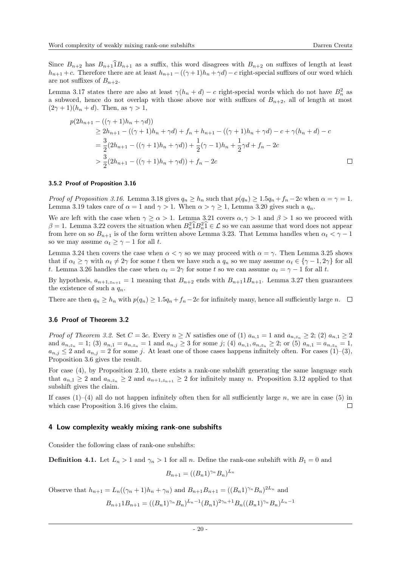Since  $B_{n+2}$  has  $B_{n+1}1B_{n+1}$  as a suffix, this word disagrees with  $B_{n+2}$  on suffixes of length at least  $h_{n+1} + c$ . Therefore there are at least  $h_{n+1} - ((\gamma + 1)h_n + \gamma d) - c$  right-special suffixes of our word which are not suffixes of  $B_{n+2}$ .

Lemma [3.17](#page-13-1) states there are also at least  $\gamma(h_n + d) - c$  right-special words which do not have  $B_n^2$  as a subword, hence do not overlap with those above nor with suffixes of  $B_{n+2}$ , all of length at most  $(2\gamma+1)(h_n+d)$ . Then, as  $\gamma>1$ ,

$$
p(2h_{n+1} - ((\gamma + 1)h_n + \gamma d))
$$
  
\n
$$
\ge 2h_{n+1} - ((\gamma + 1)h_n + \gamma d) + f_n + h_{n+1} - ((\gamma + 1)h_n + \gamma d) - c + \gamma(h_n + d) - c
$$
  
\n
$$
= \frac{3}{2}(2h_{n+1} - ((\gamma + 1)h_n + \gamma d)) + \frac{1}{2}(\gamma - 1)h_n + \frac{1}{2}\gamma d + f_n - 2c
$$
  
\n
$$
> \frac{3}{2}(2h_{n+1} - ((\gamma + 1)h_n + \gamma d)) + f_n - 2c
$$

#### 3.5.2 Proof of Proposition [3.16](#page-13-0)

Proof of Proposition [3.16.](#page-13-0) Lemma [3.18](#page-13-2) gives  $q_n \geq h_n$  such that  $p(q_n) \geq 1.5q_n + f_n - 2c$  when  $\alpha = \gamma = 1$ . Lemma [3.19](#page-15-0) takes care of  $\alpha = 1$  and  $\gamma > 1$ . When  $\alpha > \gamma \ge 1$ , Lemma [3.20](#page-15-1) gives such a  $q_n$ .

We are left with the case when  $\gamma \ge \alpha > 1$ . Lemma [3.21](#page-15-2) covers  $\alpha, \gamma > 1$  and  $\beta > 1$  so we proceed with  $\beta = 1$ . Lemma [3.22](#page-16-0) covers the situation when  $B_n^2 \hat{1} B_n^2 \hat{1} \in \mathcal{L}$  so we can assume that word does not appear from here on so  $B_{n+1}$  is of the form written above Lemma [3.23.](#page-16-1) That Lemma handles when  $\alpha_t < \gamma - 1$ so we may assume  $\alpha_t \geq \gamma - 1$  for all t.

Lemma [3.24](#page-16-2) then covers the case when  $\alpha < \gamma$  so we may proceed with  $\alpha = \gamma$ . Then Lemma [3.25](#page-17-0) shows that if  $\alpha_t \geq \gamma$  with  $\alpha_t \neq 2\gamma$  for some t then we have such a  $q_n$  so we may assume  $\alpha_t \in {\gamma - 1, 2\gamma}$  for all t. Lemma [3.26](#page-17-1) handles the case when  $\alpha_t = 2\gamma$  for some t so we can assume  $\alpha_t = \gamma - 1$  for all t.

By hypothesis,  $a_{n+1,z_{n+1}} = 1$  meaning that  $B_{n+2}$  ends with  $B_{n+1}1B_{n+1}$ . Lemma [3.27](#page-18-0) then guarantees the existence of such a  $q_n$ .

There are then  $q_n > h_n$  with  $p(q_n) > 1.5q_n + f_n - 2c$  for infinitely many, hence all sufficiently large n.  $\square$ 

#### 3.6 Proof of Theorem [3.2](#page-8-2)

*Proof of Theorem [3.2.](#page-8-2)* Set  $C = 3c$ . Every  $n \ge N$  satisfies one of (1)  $a_{n,1} = 1$  and  $a_{n,z_n} \ge 2$ ; (2)  $a_{n,1} \ge 2$ and  $a_{n,z_n} = 1$ ; (3)  $a_{n,1} = a_{n,z_n} = 1$  and  $a_{n,j} \ge 3$  for some j; (4)  $a_{n,1}, a_{n,z_n} \ge 2$ ; or (5)  $a_{n,1} = a_{n,z_n} = 1$ ,  $a_{n,j} \leq 2$  and  $a_{n,j} = 2$  for some j. At least one of those cases happens infinitely often. For cases (1)–(3), Proposition [3.6](#page-9-1) gives the result.

For case (4), by Proposition [2.10,](#page-7-3) there exists a rank-one subshift generating the same language such that  $a_{n,1} \geq 2$  and  $a_{n,z_n} \geq 2$  and  $a_{n+1,z_{n+1}} \geq 2$  for infinitely many n. Proposition [3.12](#page-10-3) applied to that subshift gives the claim.

If cases  $(1)$ – $(4)$  all do not happen infinitely often then for all sufficiently large n, we are in case  $(5)$  in which case Proposition [3.16](#page-13-0) gives the claim.  $\Box$ 

#### <span id="page-19-0"></span>4 Low complexity weakly mixing rank-one subshifts

Consider the following class of rank-one subshifts:

<span id="page-19-1"></span>**Definition 4.1.** Let  $L_n > 1$  and  $\gamma_n > 1$  for all n. Define the rank-one subshift with  $B_1 = 0$  and

$$
B_{n+1} = ((B_n 1)^{\gamma_n} B_n)^{L_n}
$$

Observe that  $h_{n+1} = L_n((\gamma_n + 1)h_n + \gamma_n)$  and  $B_{n+1}B_{n+1} = ((B_n 1)^{\gamma_n} B_n)^{2L_n}$  and

$$
B_{n+1}1B_{n+1} = ((B_n 1)^{\gamma_n} B_n)^{L_n-1} (B_n 1)^{2\gamma_n+1} B_n ((B_n 1)^{\gamma_n} B_n)^{L_n-1}
$$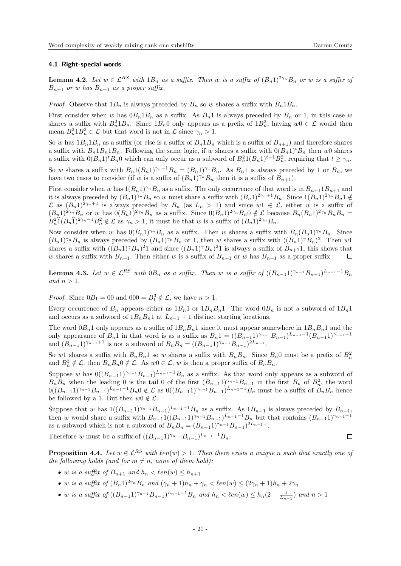## 4.1 Right-special words

<span id="page-20-0"></span>**Lemma 4.2.** Let  $w \in \mathcal{L}^{RS}$  with  $1B_n$  as a suffix. Then w is a suffix of  $(B_n 1)^{2\gamma_n} B_n$  or w is a suffix of  $B_{n+1}$  or w has  $B_{n+1}$  as a proper suffix.

*Proof.* Observe that  $1B_n$  is always preceded by  $B_n$  so w shares a suffix with  $B_n1B_n$ .

First consider when w has  $0B_n1B_n$  as a suffix. As  $B_n1$  is always preceded by  $B_n$  or 1, in this case w shares a suffix with  $B_n^2 1B_n$ . Since  $1B_n 0$  only appears as a prefix of  $1B_n^2$ , having  $w0 \in \mathcal{L}$  would then mean  $B_n^2 1B_n^2 \in \mathcal{L}$  but that word is not in  $\mathcal{L}$  since  $\gamma_n > 1$ .

So w has  $1B_n1B_n$  as a suffix (or else is a suffix of  $B_n1B_n$  which is a suffix of  $B_{n+1}$ ) and therefore shares a suffix with  $B_n1B_n1B_n$ . Following the same logic, if w shares a suffix with  $0(B_n1)^tB_n$  then w0 shares a suffix with  $0(B_n 1)^t B_n 0$  which can only occur as a subword of  $B_n^2 1(B_n 1)^{t-1} B_n^2$ , requiring that  $t \geq \gamma_n$ .

So w shares a suffix with  $B_n 1(B_n 1)^{\gamma_n-1}B_n = (B_n 1)^{\gamma_n}B_n$ . As  $B_n 1$  is always preceded by 1 or  $B_n$ , we have two cases to consider (if w is a suffix of  $(B_n 1)^{\gamma_n} B_n$  then it is a suffix of  $B_{n+1}$ ).

First consider when w has  $1(B_n 1)^{\gamma_n} B_n$  as a suffix. The only occurrence of that word is in  $B_{n+1} 1 B_{n+1}$  and it is always preceded by  $(B_n 1)^{\gamma_n} B_n$  so w must share a suffix with  $(B_n 1)^{2\gamma_n+1} B_n$ . Since  $1(B_n 1)^{2\gamma_n} B_n 1 \notin$  $\mathcal L$  as  $(B_n^1)^{2\gamma_n+1}$  is always preceded by  $B_n$  (as  $L_n > 1$ ) and since  $w1 \in \mathcal L$ , either w is a suffix of  $(B_n 1)^{2\gamma_n} B_n$  or w has  $0(B_n 1)^{2\gamma_n} B_n$  as a suffix. Since  $0(B_n 1)^{2\gamma_n} B_n 0 \notin \mathcal{L}$  because  $B_n (B_n 1)^{2\gamma_n} B_n B_n =$  $B_n^2 \hat{1}(B_n \hat{1})^{2\gamma_n-1} B_n^2 \notin \mathcal{L}$  as  $\gamma_n > 1$ , it must be that w is a suffix of  $(B_n 1)^{2\gamma_n} B_n$ .

Now consider when w has  $0(B_n1)^{\gamma_n}B_n$  as a suffix. Then w shares a suffix with  $B_n(B_n1)^{\gamma_n}B_n$ . Since  $(B_n 1)^{\gamma_n} B_n$  is always preceded by  $(B_n 1)^{\gamma_n} B_n$  or 1, then w shares a suffix with  $((B_n 1)^{\gamma} B_n)^2$ . Then w1 shares a suffix with  $((B_n 1)^{\gamma} B_n)^2 1$  and since  $((B_n 1)^{\gamma} B_n)^2 1$  is always a suffix of  $B_{n+1} 1$ , this shows that w shares a suffix with  $B_{n+1}$ . Then either w is a suffix of  $B_{n+1}$  or w has  $B_{n+1}$  as a proper suffix.  $\Box$ 

<span id="page-20-1"></span>**Lemma 4.3.** Let  $w \in \mathcal{L}^{RS}$  with  $0B_n$  as a suffix. Then w is a suffix of  $((B_{n-1}1)^{\gamma_{n-1}}B_{n-1})^{L_{n-1}-1}B_n$ and  $n > 1$ .

*Proof.* Since  $0B_1 = 00$  and  $000 = B_1^3 \notin \mathcal{L}$ , we have  $n > 1$ .

Every occurrence of  $B_n$  appears either as  $1B_n1$  or  $1B_nB_n1$ . The word  $0B_n$  is not a subword of  $1B_n1$ and occurs as a subword of  $1B_nB_n1$  at  $L_{n-1}$  + 1 distinct starting locations.

The word  $0B_n1$  only appears as a suffix of  $1B_nB_n1$  since it must appear somewhere in  $1B_nB_n1$  and the only appearance of  $B_n 1$  in that word is as a suffix as  $B_n 1 = ((B_{n-1}1)^{\gamma_{n-1}}B_{n-1})^{L_{n-1}-1}(B_{n-1}1)^{\gamma_{n-1}+1}$ and  $(B_{n-1}1)^{\gamma_{n-1}+1}$  is not a subword of  $B_nB_n = ((B_{n-1}1)^{\gamma_{n-1}}B_{n-1})^{2L_{n-1}}$ .

So w1 shares a suffix with  $B_nB_n1$  so w shares a suffix with  $B_nB_n$ . Since  $B_n0$  must be a prefix of  $B_n^2$ and  $B_n^3 \notin \mathcal{L}$ , then  $B_n B_n 0 \notin \mathcal{L}$ . As  $w0 \in \mathcal{L}$ , w is then a proper suffix of  $B_n B_n$ .

Suppose w has  $0((B_{n-1})^{\gamma_{n-1}}B_{n-1})^{L_{n-1}-1}B_n$  as a suffix. As that word only appears as a subword of  $B_n B_n$  when the leading 0 is the tail 0 of the first  $(B_{n-1}1)^{\gamma_{n-1}}B_{n-1}$  in the first  $B_n$  of  $B_n^2$ , the word  $0((B_{n-1}1)^{\gamma_{n-1}}B_{n-1})^{L_{n-1}-1}B_n$   $\notin \mathcal{L}$  as  $0((B_{n-1}1)^{\gamma_{n-1}}B_{n-1})^{L_{n-1}-1}B_n$  must be a suffix of  $B_nB_n$  hence be followed by a 1. But then  $w0 \notin \mathcal{L}$ .

Suppose that w has  $1((B_{n-1})^{\gamma_{n-1}}B_{n-1})^{L_{n-1}-1}B_n$  as a suffix. As  $1B_{n-1}$  is always preceded by  $B_{n-1}$ , then w would share a suffix with  $B_{n-1}1((B_{n-1}1)^{\gamma_{n-1}}B_{n-1})^{L_{n-1}-1}B_n$  but that contains  $(B_{n-1}1)^{\gamma_{n-1}+1}$ as a subword which is not a subword of  $B_nB_n = (B_{n-1}1)^{\gamma_{n-1}}B_{n-1}$ <sup>2L<sub>n−1</sub>+.</sup>

Therefore w must be a suffix of  $((B_{n-1})^{\gamma_{n-1}}B_{n-1})^{L_{n-1}-1}B_n$ .

 $\Box$ 

<span id="page-20-2"></span>**Proposition 4.4.** Let  $w \in \mathcal{L}^{RS}$  with  $\ell en(w) > 1$ . Then there exists a unique n such that exactly one of the following holds (and for  $m \neq n$ , none of them hold):

- w is a suffix of  $B_{n+1}$  and  $h_n < \ell en(w) \leq h_{n+1}$
- w is a suffix of  $(B_n 1)^{2\gamma_n} B_n$  and  $(\gamma_n + 1)h_n + \gamma_n < \ell en(w) \leq (2\gamma_n + 1)h_n + 2\gamma_n$
- w is a suffix of  $((B_{n-1}1)^{\gamma_{n-1}}B_{n-1})^{L_{n-1}-1}B_n$  and  $h_n < \ell en(w) \leq h_n(2 \frac{1}{L_{n-1}})$  and  $n > 1$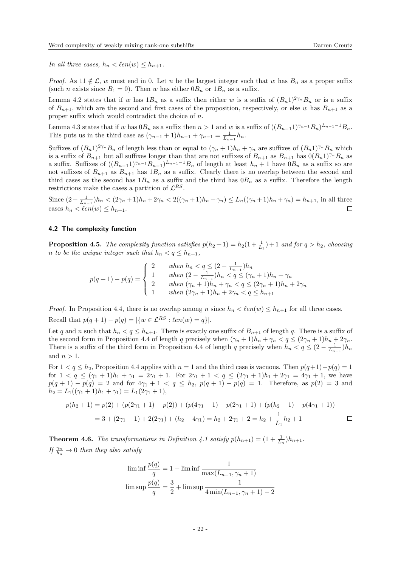In all three cases,  $h_n < \ell en(w) \leq h_{n+1}$ .

*Proof.* As  $11 \notin \mathcal{L}$ , w must end in 0. Let n be the largest integer such that w has  $B_n$  as a proper suffix (such *n* exists since  $B_1 = 0$ ). Then w has either  $0B_n$  or  $1B_n$  as a suffix.

Lemma [4.2](#page-20-0) states that if w has  $1B_n$  as a suffix then either w is a suffix of  $(B_n 1)^{2\gamma_n} B_n$  or is a suffix of  $B_{n+1}$ , which are the second and first cases of the proposition, respectively, or else w has  $B_{n+1}$  as a proper suffix which would contradict the choice of  $n$ .

Lemma [4.3](#page-20-1) states that if w has  $0B_n$  as a suffix then  $n > 1$  and w is a suffix of  $((B_{n-1})^{\gamma_{n-1}}B_n)^{L_{n-1}-1}B_n$ . This puts us in the third case as  $(\gamma_{n-1} + 1)h_{n-1} + \gamma_{n-1} = \frac{1}{L_{n-1}}h_n$ .

Suffixes of  $(B_n 1)^{2\gamma_n} B_n$  of length less than or equal to  $(\gamma_n + 1)h_n + \gamma_n$  are suffixes of  $(B_n 1)^{\gamma_n} B_n$  which is a suffix of  $B_{n+1}$  but all suffixes longer than that are not suffixes of  $B_{n+1}$  as  $B_{n+1}$  has  $0(B_n 1)^{\gamma_n} B_n$  as a suffix. Suffixes of  $((B_{n-1})^{\gamma_{n-1}}B_{n-1})^{L_{n-1}-1}B_n$  of length at least  $h_n+1$  have  $0B_n$  as a suffix so are not suffixes of  $B_{n+1}$  as  $B_{n+1}$  has  $1B_n$  as a suffix. Clearly there is no overlap between the second and third cases as the second has  $1B_n$  as a suffix and the third has  $0B_n$  as a suffix. Therefore the length restrictions make the cases a partition of  $\mathcal{L}^{RS}$ .

Since  $(2 - \frac{1}{L_{n-1}})h_n < (2\gamma_n + 1)h_n + 2\gamma_n < 2((\gamma_n + 1)h_n + \gamma_n) \le L_n((\gamma_n + 1)h_n + \gamma_n) = h_{n+1}$ , in all three cases  $h_n < \ell en(w) \leq h_{n+1}$ .  $\Box$ 

## 4.2 The complexity function

<span id="page-21-0"></span>**Proposition 4.5.** The complexity function satisfies  $p(h_2 + 1) = h_2(1 + \frac{1}{L_1}) + 1$  and for  $q > h_2$ , choosing n to be the unique integer such that  $h_n < q \leq h_{n+1}$ ,

$$
p(q+1) - p(q) = \begin{cases} 2 & \text{when } h_n < q \le (2 - \frac{1}{L_{n-1}})h_n \\ 1 & \text{when } (2 - \frac{1}{L_{n-1}})h_n < q \le (\gamma_n + 1)h_n + \gamma_n \\ 2 & \text{when } (\gamma_n + 1)h_n + \gamma_n < q \le (2\gamma_n + 1)h_n + 2\gamma_n \\ 1 & \text{when } (2\gamma_n + 1)h_n + 2\gamma_n < q \le h_{n+1} \end{cases}
$$

*Proof.* In Proposition [4.4,](#page-20-2) there is no overlap among n since  $h_n < \ell en(w) \leq h_{n+1}$  for all three cases. Recall that  $p(q + 1) - p(q) = |\{w \in \mathcal{L}^{RS} : \ell en(w) = q\}|.$ 

Let q and n such that  $h_n < q \leq h_{n+1}$ . There is exactly one suffix of  $B_{n+1}$  of length q. There is a suffix of the second form in Proposition [4.4](#page-20-2) of length q precisely when  $(\gamma_n + 1)h_n + \gamma_n < q \leq (2\gamma_n + 1)h_n + 2\gamma_n$ . There is a suffix of the third form in Proposition [4.4](#page-20-2) of length q precisely when  $h_n < q \leq (2 - \frac{1}{L_{n-1}})h_n$ and  $n > 1$ .

For  $1 < q \le h_2$ , Proposition [4.4](#page-20-2) applies with  $n = 1$  and the third case is vacuous. Then  $p(q+1)-p(q) = 1$ for  $1 < q \le (\gamma_1 + 1)h_1 + \gamma_1 = 2\gamma_1 + 1$ . For  $2\gamma_1 + 1 < q \le (2\gamma_1 + 1)h_1 + 2\gamma_1 = 4\gamma_1 + 1$ , we have  $p(q + 1) - p(q) = 2$  and for  $4\gamma_1 + 1 < q \le h_2$ ,  $p(q + 1) - p(q) = 1$ . Therefore, as  $p(2) = 3$  and  $h_2 = L_1((\gamma_1 + 1)h_1 + \gamma_1) = L_1(2\gamma_1 + 1),$ 

$$
p(h_2 + 1) = p(2) + (p(2\gamma_1 + 1) - p(2)) + (p(4\gamma_1 + 1) - p(2\gamma_1 + 1) + (p(h_2 + 1) - p(4\gamma_1 + 1))
$$
  
= 3 + (2\gamma\_1 - 1) + 2(2\gamma\_1) + (h\_2 - 4\gamma\_1) = h\_2 + 2\gamma\_1 + 2 = h\_2 + \frac{1}{L\_1}h\_2 + 1

<span id="page-21-1"></span>**Theorem 4.6.** The transformations in Definition [4.1](#page-19-1) satisfy  $p(h_{n+1}) = (1 + \frac{1}{L_n})h_{n+1}$ . If  $\frac{\gamma_n}{h_n} \to 0$  then they also satisfy

$$
\liminf \frac{p(q)}{q} = 1 + \liminf \frac{1}{\max(L_{n-1}, \gamma_n + 1)}
$$

$$
\limsup \frac{p(q)}{q} = \frac{3}{2} + \limsup \frac{1}{4\min(L_{n-1}, \gamma_n + 1) - 2}
$$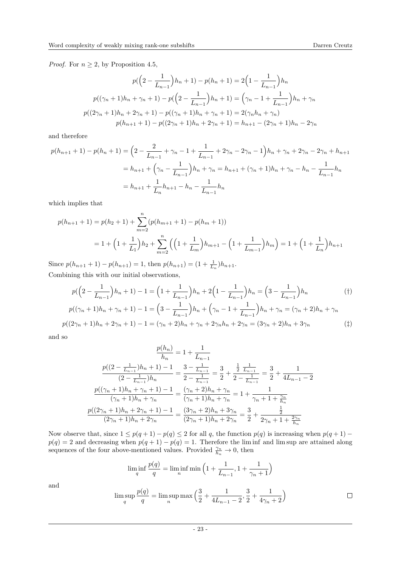*Proof.* For  $n \geq 2$ , by Proposition [4.5,](#page-21-0)

$$
p(\left(2-\frac{1}{L_{n-1}}\right)h_n+1)-p(h_n+1)=2\left(1-\frac{1}{L_{n-1}}\right)h_n
$$

$$
p((\gamma_n+1)h_n+\gamma_n+1)-p(\left(2-\frac{1}{L_{n-1}}\right)h_n+1)=\left(\gamma_n-1+\frac{1}{L_{n-1}}\right)h_n+\gamma_n
$$

$$
p((2\gamma_n+1)h_n+2\gamma_n+1)-p((\gamma_n+1)h_n+\gamma_n+1)=2(\gamma_nh_n+\gamma_n)
$$

$$
p(h_{n+1}+1)-p((2\gamma_n+1)h_n+2\gamma_n+1)=h_{n+1}-(2\gamma_n+1)h_n-2\gamma_n
$$

and therefore

$$
p(h_{n+1} + 1) - p(h_n + 1) = \left(2 - \frac{2}{L_{n-1}} + \gamma_n - 1 + \frac{1}{L_{n-1}} + 2\gamma_n - 2\gamma_n - 1\right)h_n + \gamma_n + 2\gamma_n - 2\gamma_n + h_{n+1}
$$

$$
= h_{n+1} + \left(\gamma_n - \frac{1}{L_{n-1}}\right)h_n + \gamma_n = h_{n+1} + (\gamma_n + 1)h_n + \gamma_n - h_n - \frac{1}{L_{n-1}}h_n
$$

$$
= h_{n+1} + \frac{1}{L_n}h_{n+1} - h_n - \frac{1}{L_{n-1}}h_n
$$

which implies that

$$
p(h_{n+1} + 1) = p(h_2 + 1) + \sum_{m=2}^{n} (p(h_{m+1} + 1) - p(h_m + 1))
$$
  
= 1 + \left(1 + \frac{1}{L\_1}\right)h\_2 + \sum\_{m=2}^{n} \left(\left(1 + \frac{1}{L\_m}\right)h\_{m+1} - \left(1 + \frac{1}{L\_{m-1}}\right)h\_m\right) = 1 + \left(1 + \frac{1}{L\_n}\right)h\_{n+1}

Since  $p(h_{n+1} + 1) - p(h_{n+1}) = 1$ , then  $p(h_{n+1}) = (1 + \frac{1}{L_n})h_{n+1}$ . Combining this with our initial observations,

$$
p(\left(2-\frac{1}{L_{n-1}}\right)h_n+1)-1=\left(1+\frac{1}{L_{n-1}}\right)h_n+2\left(1-\frac{1}{L_{n-1}}\right)h_n=\left(3-\frac{1}{L_{n-1}}\right)h_n
$$
  
\n
$$
p((\gamma_n+1)h_n+\gamma_n+1)-1=\left(3-\frac{1}{L_{n-1}}\right)h_n+\left(\gamma_n-1+\frac{1}{L_{n-1}}\right)h_n+\gamma_n=(\gamma_n+2)h_n+\gamma_n
$$
  
\n
$$
p((2\gamma_n+1)h_n+2\gamma_n+1)-1=(\gamma_n+2)h_n+\gamma_n+2\gamma_nh_n+2\gamma_n=(3\gamma_n+2)h_n+3\gamma_n
$$
 (†)

and so

$$
\frac{p(h_n)}{h_n} = 1 + \frac{1}{L_{n-1}}
$$

$$
\frac{p((2 - \frac{1}{L_{n-1}})h_n + 1) - 1}{(2 - \frac{1}{L_{n-1}})h_n} = \frac{3 - \frac{1}{L_{n-1}}}{2 - \frac{1}{L_{n-1}}} = \frac{3}{2} + \frac{\frac{1}{2}\frac{1}{L_{n-1}}}{2 - \frac{1}{L_{n-1}}} = \frac{3}{2} + \frac{1}{4L_{n-1} - 2}
$$

$$
\frac{p((\gamma_n + 1)h_n + \gamma_n + 1) - 1}{(\gamma_n + 1)h_n + \gamma_n} = \frac{(\gamma_n + 2)h_n + \gamma_n}{(\gamma_n + 1)h_n + \gamma_n} = 1 + \frac{1}{\gamma_n + 1 + \frac{\gamma_n}{h_n}}
$$

$$
\frac{p((2\gamma_n + 1)h_n + 2\gamma_n + 1) - 1}{(2\gamma_n + 1)h_n + 2\gamma_n} = \frac{(3\gamma_n + 2)h_n + 3\gamma_n}{(2\gamma_n + 1)h_n + 2\gamma_n} = \frac{3}{2} + \frac{\frac{1}{2}}{2\gamma_n + 1 + \frac{2\gamma_n}{h_n}}
$$

Now observe that, since  $1 \leq p(q+1) - p(q) \leq 2$  for all q, the function  $p(q)$  is increasing when  $p(q+1)$  $p(q) = 2$  and decreasing when  $p(q + 1) - p(q) = 1$ . Therefore the limit and lim sup are attained along sequences of the four above-mentioned values. Provided  $\frac{\gamma_n}{h_n} \to 0$ , then

$$
\liminf_{q} \frac{p(q)}{q} = \liminf_{n} \min \left( 1 + \frac{1}{L_{n-1}}, 1 + \frac{1}{\gamma_n + 1} \right)
$$

and

$$
\limsup_{q} \frac{p(q)}{q} = \limsup_{n} \max \left( \frac{3}{2} + \frac{1}{4L_{n-1} - 2}, \frac{3}{2} + \frac{1}{4\gamma_n + 2} \right) \qquad \qquad \Box
$$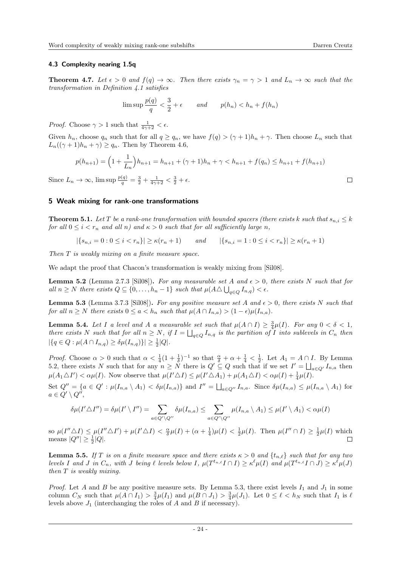## 4.3 Complexity nearing 1.5q

<span id="page-23-6"></span>**Theorem 4.7.** Let  $\epsilon > 0$  and  $f(q) \to \infty$ . Then there exists  $\gamma_n = \gamma > 1$  and  $L_n \to \infty$  such that the transformation in Definition [4.1](#page-19-1) satisfies

$$
\limsup \frac{p(q)}{q} < \frac{3}{2} + \epsilon \qquad \text{and} \qquad p(h_n) < h_n + f(h_n)
$$

*Proof.* Choose  $\gamma > 1$  such that  $\frac{1}{4\gamma + 2} < \epsilon$ .

Given  $h_n$ , choose  $q_n$  such that for all  $q \ge q_n$ , we have  $f(q) > (\gamma + 1)h_n + \gamma$ . Then choose  $L_n$  such that  $L_n((\gamma+1)h_n+\gamma)\geq q_n$ . Then by Theorem [4.6,](#page-21-1)

$$
p(h_{n+1}) = \left(1 + \frac{1}{L_n}\right)h_{n+1} = h_{n+1} + (\gamma + 1)h_n + \gamma < h_{n+1} + f(q_n) \le h_{n+1} + f(h_{n+1})
$$

Since  $L_n \to \infty$ ,  $\limsup \frac{p(q)}{q} = \frac{3}{2} + \frac{1}{4\gamma + 2} < \frac{3}{2} + \epsilon$ .

## <span id="page-23-0"></span>5 Weak mixing for rank-one transformations

<span id="page-23-4"></span>**Theorem 5.1.** Let T be a rank-one transformation with bounded spacers (there exists k such that  $s_{n,i} \leq k$ ) for all  $0 \leq i < r_n$  and all n) and  $\kappa > 0$  such that for all sufficiently large n,

$$
|\{s_{n,i} = 0 : 0 \le i < r_n\}| \ge \kappa(r_n + 1)
$$
 and  $|\{s_{n,i} = 1 : 0 \le i < r_n\}| \ge \kappa(r_n + 1)$ 

Then T is weakly mixing on a finite measure space.

We adapt the proof that Chacon's transformation is weakly mixing from [\[Sil08\]](#page-28-13).

<span id="page-23-1"></span>**Lemma 5.2** (Lemma 2.7.3 [\[Sil08\]](#page-28-13)). For any measurable set A and  $\epsilon > 0$ , there exists N such that for all  $n \geq N$  there exists  $Q \subseteq \{0, \ldots, h_n - 1\}$  such that  $\mu(A \triangle \bigcup_{q \in Q} I_{n,q}) < \epsilon$ .

<span id="page-23-2"></span>**Lemma 5.3** (Lemma 3.7.3 [\[Sil08\]](#page-28-13)). For any positive measure set A and  $\epsilon > 0$ , there exists N such that for all  $n \geq N$  there exists  $0 \leq a < h_n$  such that  $\mu(A \cap I_{n,a}) > (1 - \epsilon) \mu(I_{n,a}).$ 

<span id="page-23-3"></span>**Lemma 5.4.** Let I a level and A a measurable set such that  $\mu(A \cap I) \geq \frac{3}{4}\mu(I)$ . For any  $0 < \delta < 1$ , there exists N such that for all  $n \geq N$ , if  $I = \bigsqcup_{q \in Q} I_{n,q}$  is the partition of I into sublevels in  $C_n$  then  $|\{q \in Q : \mu(A \cap I_{n,q}) \geq \delta \mu(I_{n,q})\}| \geq \frac{1}{2}|Q|.$ 

*Proof.* Choose  $\alpha > 0$  such that  $\alpha < \frac{1}{4}(1 + \frac{1}{\delta})^{-1}$  so that  $\frac{\alpha}{\delta} + \alpha + \frac{1}{4} < \frac{1}{2}$ . Let  $A_1 = A \cap I$ . By Lemma [5.2,](#page-23-1) there exists N such that for any  $n \geq N$  there is  $Q' \subseteq Q$  such that if we set  $I' = \bigsqcup_{a \in Q'} I_{n,a}$  then  $\mu(A_1 \triangle I') < \alpha \mu(I)$ . Now observe that  $\mu(I' \triangle I) \leq \mu(I' \triangle A_1) + \mu(A_1 \triangle I) < \alpha \mu(I) + \frac{1}{4}\mu(I)$ .

Set  $Q'' = \{a \in Q' : \mu(I_{n,a} \setminus A_1) < \delta\mu(I_{n,a})\}\$ and  $I'' = \bigsqcup_{a \in Q''} I_{n,a}$ . Since  $\delta\mu(I_{n,a}) \leq \mu(I_{n,a} \setminus A_1)$  for  $a \in Q' \setminus Q'',$ 

$$
\delta\mu(I'\triangle I'')=\delta\mu(I'\setminus I'')=\sum_{a\in Q'\setminus Q''}\delta\mu(I_{n,a})\leq \sum_{a\in Q'\setminus Q''}\mu(I_{n,a}\setminus A_1)\leq \mu(I'\setminus A_1)<\alpha\mu(I)
$$

so  $\mu(I'' \triangle I) \leq \mu(I'' \triangle I') + \mu(I' \triangle I) < \frac{\alpha}{\delta} \mu(I) + (\alpha + \frac{1}{4}) \mu(I) < \frac{1}{2} \mu(I)$ . Then  $\mu(I'' \cap I) \geq \frac{1}{2} \mu(I)$  which means  $|Q''| \geq \frac{1}{2}|Q|$ .  $\Box$ 

<span id="page-23-5"></span>**Lemma 5.5.** If T is on a finite measure space and there exists  $\kappa > 0$  and  $\{t_{n,\ell}\}\$  such that for any two levels I and J in  $C_n$ , with J being  $\ell$  levels below I,  $\mu(T^{t_{n,\ell}}I \cap I) \geq \kappa^{\ell} \mu(I)$  and  $\mu(T^{t_{n,\ell}}I \cap J) \geq \kappa^{\ell} \mu(J)$ then T is weakly mixing.

*Proof.* Let A and B be any positive measure sets. By Lemma [5.3,](#page-23-2) there exist levels  $I_1$  and  $J_1$  in some column  $C_N$  such that  $\mu(A \cap I_1) > \frac{3}{4}\mu(I_1)$  and  $\mu(B \cap J_1) > \frac{3}{4}\mu(J_1)$ . Let  $0 \leq \ell < h_N$  such that  $I_1$  is  $\ell$ levels above  $J_1$  (interchanging the roles of A and B if necessary).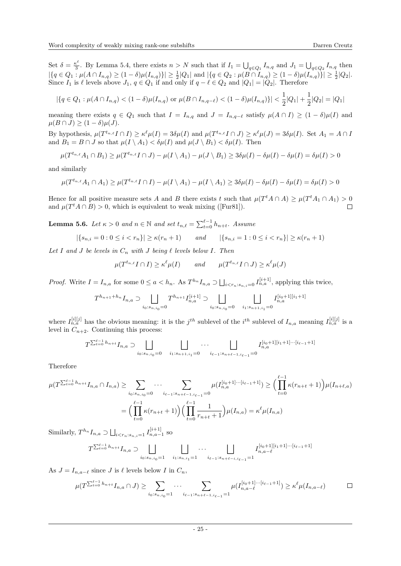Set  $\delta = \frac{\kappa^{\ell}}{3}$  $\frac{S^2}{3}$ . By Lemma [5.4,](#page-23-3) there exists  $n > N$  such that if  $I_1 = \bigcup_{q \in Q_1} I_{n,q}$  and  $J_1 = \bigcup_{q \in Q_2} I_{n,q}$  then  $|\{q \in Q_1 : \mu(A \cap I_{n,q}) \ge (1-\delta)\mu(I_{n,q})\}| \ge \frac{1}{2}|Q_1|$  and  $|\{q \in Q_2 : \mu(B \cap I_{n,q}) \ge (1-\delta)\mu(I_{n,q})\}| \ge \frac{1}{2}|Q_2|$ . Since  $I_1$  is  $\ell$  levels above  $J_1, q \in Q_1$  if and only if  $q - \ell \in Q_2$  and  $|Q_1| = |Q_2|$ . Therefore

$$
|\{q \in Q_1 : \mu(A \cap I_{n,q}) < (1-\delta)\mu(I_{n,q}) \text{ or } \mu(B \cap I_{n,q-\ell}) < (1-\delta)\mu(I_{n,q})\}| < \frac{1}{2}|Q_1| + \frac{1}{2}|Q_2| = |Q_1|
$$

meaning there exists  $q \in Q_1$  such that  $I = I_{n,q}$  and  $J = I_{n,q-\ell}$  satisfy  $\mu(A \cap I) \geq (1 - \delta)\mu(I)$  and  $\mu(B \cap J) \geq (1 - \delta)\mu(J).$ 

By hypothesis,  $\mu(T^{t_{n,\ell}}I \cap I) \geq \kappa^{\ell} \mu(I) = 3\delta \mu(I)$  and  $\mu(T^{t_{n,\ell}}I \cap J) \geq \kappa^{\ell} \mu(J) = 3\delta \mu(I)$ . Set  $A_1 = A \cap I$ and  $B_1 = B \cap J$  so that  $\mu(I \setminus A_1) < \delta \mu(I)$  and  $\mu(J \setminus B_1) < \delta \mu(I)$ . Then

$$
\mu(T^{t_{n,\ell}}A_1 \cap B_1) \ge \mu(T^{t_{n,\ell}}I \cap J) - \mu(I \setminus A_1) - \mu(J \setminus B_1) \ge 3\delta\mu(I) - \delta\mu(I) - \delta\mu(I) = \delta\mu(I) > 0
$$

and similarly

$$
\mu(T^{t_{n,\ell}}A_1 \cap A_1) \ge \mu(T^{t_{n,\ell}}I \cap I) - \mu(I \setminus A_1) - \mu(I \setminus A_1) \ge 3\delta\mu(I) - \delta\mu(I) - \delta\mu(I) = \delta\mu(I) > 0
$$

Hence for all positive measure sets A and B there exists t such that  $\mu(T^t A \cap A) \geq \mu(T^t A_1 \cap A_1) > 0$ and  $\mu(T^t A \cap B) > 0$ , which is equivalent to weak mixing ([\[Fur81\]](#page-28-19)).  $\Box$ 

<span id="page-24-0"></span>**Lemma 5.6.** Let  $\kappa > 0$  and  $n \in \mathbb{N}$  and set  $t_{n,\ell} = \sum_{t=0}^{\ell-1} h_{n+t}$ . Assume

$$
|\{s_{n,i} = 0 : 0 \le i < r_n\}| \ge \kappa(r_n + 1)
$$
 and  $|\{s_{n,i} = 1 : 0 \le i < r_n\}| \ge \kappa(r_n + 1)$ 

Let I and J be levels in  $C_n$  with J being  $\ell$  levels below I. Then

$$
\mu(T^{t_{n,\ell}}I \cap I) \ge \kappa^{\ell} \mu(I) \qquad \text{and} \qquad \mu(T^{t_{n,\ell}}I \cap J) \ge \kappa^{\ell} \mu(J)
$$

*Proof.* Write  $I = I_{n,a}$  for some  $0 \le a < h_n$ . As  $T^{h_n} I_{n,a} \supset \bigcup_{i < r_n : s_{n,i}=0} I_{n,a}^{[i+1]}$ , applying this twice,

$$
T^{h_{n+1}+h_n}I_{n,a}\supset\bigsqcup_{i_0:s_{n,i_0}=0}T^{h_{n+1}}I_{n,a}^{[i+1]}\supset\bigsqcup_{i_0:s_{n,i_0}=0}\bigsqcup_{i_1:s_{n+1,i_1}=0}I_{n,a}^{[i_0+1][i_1+1]}
$$

where  $I_{n,a}^{[i][j]}$  has the obvious meaning: it is the  $j^{th}$  sublevel of the  $i^{th}$  sublevel of  $I_{n,a}$  meaning  $I_{n,a}^{[i][j]}$  is a level in  $C_{n+2}$ . Continuing this process:

$$
T^{\sum_{t=0}^{\ell-1} h_{n+t}} I_{n,a} \supset \bigsqcup_{i_0: s_{n,i_0}=0} \bigsqcup_{i_1: s_{n+1,i_1}=0} \cdots \bigsqcup_{i_{\ell-1}: s_{n+\ell-1,i_{\ell-1}}=0} I_{n,a}^{[i_0+1][i_1+1]\cdots[i_{\ell-1}+1]}
$$

Therefore

$$
\mu(T^{\sum_{t=0}^{\ell-1} h_{n+t}} I_{n,a} \cap I_{n,a}) \geq \sum_{i_0 : s_{n,i_0} = 0} \cdots \sum_{i_{\ell-1} : s_{n+\ell-1,i_{\ell-1}} = 0} \mu(I_{n,a}^{[i_0+1] \cdots [i_{\ell-1}+1]}) \geq \left(\prod_{t=0}^{\ell-1} \kappa(r_{n+t}+1)\right) \mu(I_{n+\ell,a})
$$

$$
= \left(\prod_{t=0}^{\ell-1} \kappa(r_{n+t}+1)\right) \left(\prod_{t=0}^{\ell-1} \frac{1}{r_{n+t}+1}\right) \mu(I_{n,a}) = \kappa^{\ell} \mu(I_{n,a})
$$

Similarly,  $T^{h_n} I_{n,a} \supset \bigsqcup_{i < r_n : s_{n,i}=1} I_{n,a-1}^{[i+1]}$  so

$$
T^{\sum_{t=0}^{\ell-1}h_{n+t}}I_{n,a}\supset \bigsqcup_{i_0:s_{n,i_0}=1}\bigsqcup_{i_1:s_{n,i_1}=1}\cdots\bigsqcup_{i_{\ell-1}:s_{n+\ell-i,i_{\ell-1}}=1}I^{[i_0+1][i_1+1]\cdots[i_{\ell-1}+1]}_{n,a-\ell}
$$

As  $J = I_{n,a-\ell}$  since J is  $\ell$  levels below I in  $C_n$ ,

$$
\mu(T^{\sum_{t=0}^{\ell-1} h_{n+t}} I_{n,a} \cap J) \geq \sum_{i_0: s_{n,i_0} = 1} \cdots \sum_{i_{\ell-1}: s_{n+\ell-1,i_{\ell-1}} = 1} \mu(I_{n,a-\ell}^{[i_0+1] \cdots [i_{\ell-1}+1]}) \geq \kappa^{\ell} \mu(I_{n,a-\ell})
$$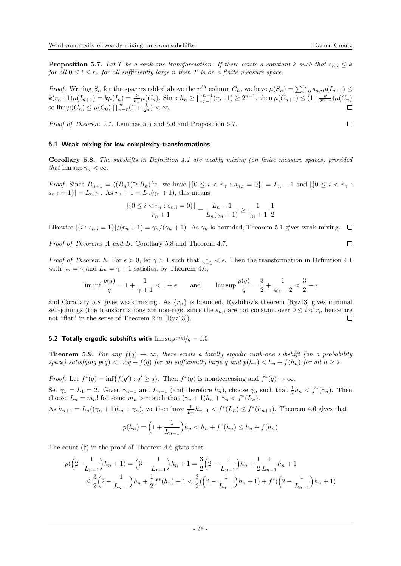<span id="page-25-0"></span>**Proposition 5.7.** Let T be a rank-one transformation. If there exists a constant k such that  $s_{n,i} \leq k$ for all  $0 \leq i \leq r_n$  for all sufficiently large n then T is on a finite measure space.

*Proof.* Writing  $S_n$  for the spacers added above the  $n^{th}$  column  $C_n$ , we have  $\mu(S_n) = \sum_{i=0}^{r_n} s_{n,i} \mu(I_{n+1}) \leq$  $k(r_n+1)\mu(I_{n+1}) = k\mu(I_n) = \frac{k}{h_n}\mu(C_n)$ . Since  $h_n \ge \prod_{j=1}^{n-1}(r_j+1) \ge 2^{n-1}$ , then  $\mu(C_{n+1}) \le (1 + \frac{k}{2^{n-1}})\mu(C_n)$ so  $\lim \mu(C_n) \leq \mu(C_0) \prod_{n=0}^{\infty} (1 + \frac{k}{2^n}) < \infty.$  $\Box$ 

Proof of Theorem [5.1.](#page-23-4) Lemmas [5.5](#page-23-5) and [5.6](#page-24-0) and Proposition [5.7.](#page-25-0)

#### 5.1 Weak mixing for low complexity transformations

<span id="page-25-1"></span>**Corollary 5.8.** The subshifts in Definition [4.1](#page-19-1) are weakly mixing (on finite measure spaces) provided that  $\limsup \gamma_n < \infty$ .

*Proof.* Since  $B_{n+1} = ((B_n 1)^{\gamma_n} B_n)^{L_n}$ , we have  $|\{0 \le i < r_n : s_{n,i} = 0\}| = L_n - 1$  and  $|\{0 \le i < r_n : s_{n,i} = 0\}|$  $|s_{n,i} = 1| = L_n \gamma_n$ . As  $r_n + 1 = L_n(\gamma_n + 1)$ , this means

$$
\frac{|\{0 \le i < r_n : s_{n,i} = 0\}|}{r_n + 1} = \frac{L_n - 1}{L_n(\gamma_n + 1)} \ge \frac{1}{\gamma_n + 1} \frac{1}{2}
$$

Likewise  $|\{i : s_{n,i} = 1\}|/(r_n + 1) = \gamma_n/(\gamma_n + 1)$ . As  $\gamma_n$  is bounded, Theorem [5.1](#page-23-4) gives weak mixing.  $\Box$ 

Proof of Theorems [A](#page-0-1) and [B.](#page-0-2) Corollary [5.8](#page-25-1) and Theorem [4.7.](#page-23-6)

Proof of Theorem [E.](#page-1-0) For  $\epsilon > 0$ , let  $\gamma > 1$  such that  $\frac{1}{\gamma + 1} < \epsilon$ . Then the transformation in Definition [4.1](#page-19-1) with  $\gamma_n = \gamma$  and  $L_n = \gamma + 1$  satisfies, by Theorem [4.6,](#page-21-1)

$$
\liminf \frac{p(q)}{q} = 1 + \frac{1}{\gamma + 1} < 1 + \epsilon \qquad \text{and} \qquad \limsup \frac{p(q)}{q} = \frac{3}{2} + \frac{1}{4\gamma - 2} < \frac{3}{2} + \epsilon
$$

and Corollary [5.8](#page-25-1) gives weak mixing. As  $\{r_n\}$  is bounded, Ryzhikov's theorem [\[Ryz13\]](#page-28-11) gives minimal self-joinings (the transformations are non-rigid since the  $s_{n,i}$  are not constant over  $0 \leq i \leq r_n$  hence are not "flat" in the sense of Theorem 2 in [\[Ryz13\]](#page-28-11)).  $\Box$ 

## **5.2 Totally ergodic subshifts with**  $\limsup p(q)/q = 1.5$

**Theorem 5.9.** For any  $f(q) \to \infty$ , there exists a totally ergodic rank-one subshift (on a probability space) satisfying  $p(q) < 1.5q + f(q)$  for all sufficiently large q and  $p(h_n) < h_n + f(h_n)$  for all  $n \geq 2$ .

*Proof.* Let  $f^*(q) = \inf\{f(q') : q' \geq q\}$ . Then  $f^*(q)$  is nondecreasing and  $f^*(q) \to \infty$ . Set  $\gamma_1 = L_1 = 2$ . Given  $\gamma_{n-1}$  and  $L_{n-1}$  (and therefore  $h_n$ ), choose  $\gamma_n$  such that  $\frac{1}{2}h_n < f^*(\gamma_n)$ . Then choose  $L_n = m_n!$  for some  $m_n > n$  such that  $(\gamma_n + 1)h_n + \gamma_n < f^*(L_n)$ . As  $h_{n+1} = L_n((\gamma_n+1)h_n + \gamma_n)$ , we then have  $\frac{1}{L_n}h_{n+1} < f^*(L_n) \leq f^*(h_{n+1})$ . Theorem [4.6](#page-21-1) gives that

$$
p(h_n) = \left(1 + \frac{1}{L_{n-1}}\right)h_n < h_n + f^*(h_n) \le h_n + f(h_n)
$$

The count (†) in the proof of Theorem [4.6](#page-21-1) gives that

$$
p(\left(2-\frac{1}{L_{n-1}}\right)h_n+1) = \left(3-\frac{1}{L_{n-1}}\right)h_n+1 = \frac{3}{2}\left(2-\frac{1}{L_{n-1}}\right)h_n+\frac{1}{2}\frac{1}{L_{n-1}}h_n+1
$$
  

$$
\leq \frac{3}{2}\left(2-\frac{1}{L_{n-1}}\right)h_n+\frac{1}{2}f^*(h_n)+1 < \frac{3}{2}\left(\left(2-\frac{1}{L_{n-1}}\right)h_n+1\right)+f^*\left(\left(2-\frac{1}{L_{n-1}}\right)h_n+1\right)
$$

 $\Box$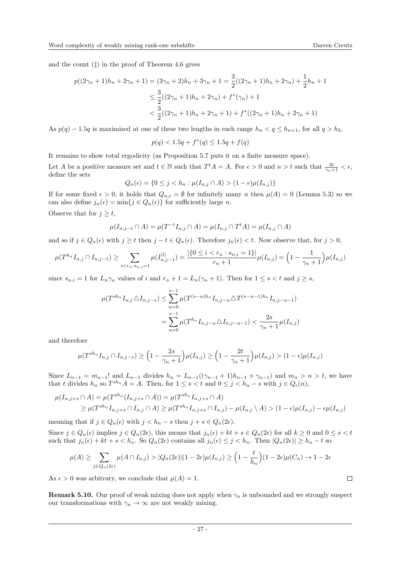and the count  $(\ddagger)$  in the proof of Theorem [4.6](#page-21-1) gives

$$
p((2\gamma_n+1)h_n+2\gamma_n+1)=(3\gamma_n+2)h_n+3\gamma_n+1=\frac{3}{2}((2\gamma_n+1)h_n+2\gamma_n)+\frac{1}{2}h_n+1
$$
  

$$
\leq \frac{3}{2}((2\gamma_n+1)h_n+2\gamma_n)+f^*(\gamma_n)+1
$$
  

$$
<\frac{3}{2}((2\gamma_n+1)h_n+2\gamma_n+1)+f^*((2\gamma_n+1)h_n+2\gamma_n+1)
$$

As  $p(q) - 1.5q$  is maximized at one of these two lengths in each range  $h_n < q \leq h_{n+1}$ , for all  $q > h_2$ ,

$$
p(q) < 1.5q + f^*(q) \le 1.5q + f(q)
$$

It remains to show total ergodicity (as Proposition [5.7](#page-25-0) puts it on a finite measure space).

Let A be a positive measure set and  $t \in \mathbb{N}$  such that  $T^t A = A$ . For  $\epsilon > 0$  and  $n > t$  such that  $\frac{2t}{\gamma_n + 1} < \epsilon$ , define the sets

$$
Q_n(\epsilon) = \{ 0 \le j < h_n : \mu(I_{n,j} \cap A) > (1 - \epsilon)\mu(I_{n,j}) \}
$$

If for some fixed  $\epsilon > 0$ , it holds that  $Q_{n,\epsilon} = \emptyset$  for infinitely many n then  $\mu(A) = 0$  (Lemma [5.3\)](#page-23-2) so we can also define  $j_n(\epsilon) = \min\{j \in Q_n(\epsilon)\}\$ for sufficiently large n.

Observe that for  $j \geq t$ ,

$$
\mu(I_{n,j-t} \cap A) = \mu(T^{-t}I_{n,j} \cap A) = \mu(I_{n,j} \cap T^t A) = \mu(I_{n,j} \cap A)
$$

and so if  $j \in Q_n(\epsilon)$  with  $j \geq t$  then  $j - t \in Q_n(\epsilon)$ . Therefore  $j_n(\epsilon) < t$ . Now observe that, for  $j > 0$ ,

$$
\mu(T^{h_n}I_{n,j} \cap I_{n,j-1}) \ge \sum_{i < r_n : s_{n,i} = 1} \mu(I_{n,j-1}^{[i]}) = \frac{|\{0 \le i < r_n : s_{n,i} = 1\}|}{r_n + 1} \mu(I_{n,j}) = \left(1 - \frac{1}{\gamma_n + 1}\right) \mu(I_{n,j})
$$

since  $s_{n,i} = 1$  for  $L_n \gamma_n$  values of i and  $r_n + 1 = L_n(\gamma_n + 1)$ . Then for  $1 \leq s < t$  and  $j \geq s$ ,

$$
\mu(T^{sh_n}I_{n,j}\triangle I_{n,j-s}) \le \sum_{u=0}^{s-1} \mu(T^{(s-u)h_n}I_{n,j-u}\triangle T^{(s-u-1)h_n}I_{n,j-u-1})
$$
  
= 
$$
\sum_{u=0}^{s-1} \mu(T^{h_n}I_{n,j-u}\triangle I_{n,j-u-1}) < \frac{2s}{\gamma_n+1}\mu(I_{n,j})
$$

and therefore

$$
\mu(T^{sh_n}I_{n,j} \cap I_{n,j-s}) \ge \left(1 - \frac{2s}{\gamma_n + 1}\right) \mu(I_{n,j}) \ge \left(1 - \frac{2t}{\gamma_n + 1}\right) \mu(I_{n,j}) > (1 - \epsilon) \mu(I_{n,j})
$$

Since  $L_{n-1} = m_{n-1}!$  and  $L_{n-1}$  divides  $h_n = L_{n-1}((\gamma_{n-1} + 1)h_{n-1} + \gamma_{n-1})$  and  $m_n > n > t$ , we have that t divides  $h_n$  so  $T^{sh_n}A = A$ . Then, for  $1 \le s < t$  and  $0 \le j < h_n - s$  with  $j \in Q_{\epsilon}(n)$ ,

$$
\mu(I_{n,j+s} \cap A) = \mu(T^{sh_n}(I_{n,j+s} \cap A)) = \mu(T^{sh_n}I_{n,j+s} \cap A)
$$
  
\n
$$
\geq \mu(T^{sh_n}I_{n,j+s} \cap I_{n,j} \cap A) \geq \mu(T^{sh_n}I_{n,j+s} \cap I_{n,j}) - \mu(I_{n,j} \setminus A) > (1 - \epsilon)\mu(I_{n,j}) - \epsilon\mu(I_{n,j})
$$

meaning that if  $j \in Q_n(\epsilon)$  with  $j < h_n - s$  then  $j + s \in Q_n(2\epsilon)$ .

Since  $j \in Q_n(\epsilon)$  implies  $j \in Q_n(2\epsilon)$ , this means that  $j_n(\epsilon) + kt + s \in Q_n(2\epsilon)$  for all  $k \ge 0$  and  $0 \le s < t$ such that  $j_n(\epsilon) + kt + s < h_n$ . So  $Q_n(2\epsilon)$  contains all  $j_n(\epsilon) \leq j < h_n$ . Then  $|Q_n(2\epsilon)| \geq h_n - t$  so

$$
\mu(A) \ge \sum_{j \in Q_n(2\epsilon)} \mu(A \cap I_{n,j}) > |Q_n(2\epsilon)| (1 - 2\epsilon)\mu(I_{n,j}) \ge \left(1 - \frac{t}{h_n}\right)(1 - 2\epsilon)\mu(C_n) \to 1 - 2\epsilon
$$

As  $\epsilon > 0$  was arbitrary, we conclude that  $\mu(A) = 1$ .

**Remark 5.10.** Our proof of weak mixing does not apply when  $\gamma_n$  is unbounded and we strongly suspect our transformations with  $\gamma_n \to \infty$  are not weakly mixing.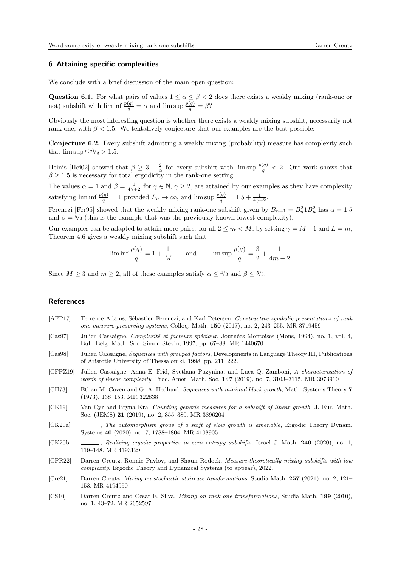## <span id="page-27-7"></span>6 Attaining specific complexities

We conclude with a brief discussion of the main open question:

Question 6.1. For what pairs of values  $1 \le \alpha \le \beta < 2$  does there exists a weakly mixing (rank-one or not) subshift with  $\liminf \frac{p(q)}{q} = \alpha$  and  $\limsup \frac{p(q)}{q} = \beta$ ?

Obviously the most interesting question is whether there exists a weakly mixing subshift, necessarily not rank-one, with  $\beta$  < 1.5. We tentatively conjecture that our examples are the best possible:

Conjecture 6.2. Every subshift admitting a weakly mixing (probability) measure has complexity such that  $\limsup p(q)/q > 1.5$ .

Heinis [\[Hei02\]](#page-28-20) showed that  $\beta \geq 3 - \frac{2}{\alpha}$  for every subshift with  $\limsup \frac{p(q)}{q} < 2$ . Our work shows that  $\beta \geq 1.5$  is necessary for total ergodicity in the rank-one setting.

The values  $\alpha = 1$  and  $\beta = \frac{1}{4\gamma + 2}$  for  $\gamma \in \mathbb{N}$ ,  $\gamma \geq 2$ , are attained by our examples as they have complexity satisfying  $\liminf \frac{p(q)}{q} = 1$  provided  $L_n \to \infty$ , and  $\limsup \frac{p(q)}{q} = 1.5 + \frac{1}{4\gamma + 2}$ .

Ferenczi [\[Fer95\]](#page-28-9) showed that the weakly mixing rank-one subshift given by  $B_{n+1} = B_n^2 1 B_n^2$  has  $\alpha = 1.5$ and  $\beta = 5/3$  (this is the example that was the previously known lowest complexity).

Our examples can be adapted to attain more pairs: for all  $2 \le m < M$ , by setting  $\gamma = M - 1$  and  $L = m$ , Theorem [4.6](#page-21-1) gives a weakly mixing subshift such that

$$
\liminf \frac{p(q)}{q} = 1 + \frac{1}{M}
$$
 and  $\limsup \frac{p(q)}{q} = \frac{3}{2} + \frac{1}{4m - 2}$ 

Since  $M \geq 3$  and  $m \geq 2$ , all of these examples satisfy  $\alpha \leq 4/3$  and  $\beta \leq 5/3$ .

## References

- <span id="page-27-11"></span>[AFP17] Terrence Adams, Sébastien Ferenczi, and Karl Petersen, Constructive symbolic presentations of rank one measure-preserving systems, Colloq. Math. 150 (2017), no. 2, 243–255. MR 3719459
- <span id="page-27-8"></span>[Cas97] Julien Cassaigne, *Complexité et facteurs spéciaux*, Journées Montoises (Mons, 1994), no. 1, vol. 4, Bull. Belg. Math. Soc. Simon Stevin, 1997, pp. 67–88. MR 1440670
- <span id="page-27-6"></span>[Cas98] Julien Cassaigne, Sequences with grouped factors, Developments in Language Theory III, Publications of Aristotle University of Thessaloniki, 1998, pp. 211–222.
- <span id="page-27-0"></span>[CFPZ19] Julien Cassaigne, Anna E. Frid, Svetlana Puzynina, and Luca Q. Zamboni, A characterization of words of linear complexity, Proc. Amer. Math. Soc. 147 (2019), no. 7, 3103–3115. MR 3973910
- <span id="page-27-4"></span>[CH73] Ethan M. Coven and G. A. Hedlund, Sequences with minimal block growth, Math. Systems Theory 7 (1973), 138–153. MR 322838
- <span id="page-27-1"></span>[CK19] Van Cyr and Bryna Kra, Counting generic measures for a subshift of linear growth, J. Eur. Math. Soc. (JEMS) 21 (2019), no. 2, 355–380. MR 3896204
- <span id="page-27-2"></span>[CK20a] , The automorphism group of a shift of slow growth is amenable, Ergodic Theory Dynam. Systems 40 (2020), no. 7, 1788–1804. MR 4108905
- <span id="page-27-3"></span>[CK20b] , Realizing ergodic properties in zero entropy subshifts, Israel J. Math. 240 (2020), no. 1, 119–148. MR 4193129
- <span id="page-27-5"></span>[CPR22] Darren Creutz, Ronnie Pavlov, and Shaun Rodock, Measure-theoretically mixing subshifts with low complexity, Ergodic Theory and Dynamical Systems (to appear), 2022.
- <span id="page-27-10"></span>[Cre21] Darren Creutz, Mixing on stochastic staircase tansformations, Studia Math. 257 (2021), no. 2, 121– 153. MR 4194950
- <span id="page-27-9"></span>[CS10] Darren Creutz and Cesar E. Silva, Mixing on rank-one transformations, Studia Math. 199 (2010), no. 1, 43–72. MR 2652597